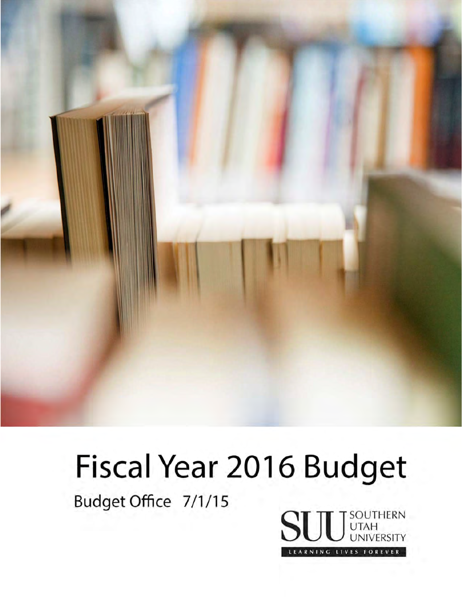

# Fiscal Year 2016 Budget

Budget Office 7/1/15

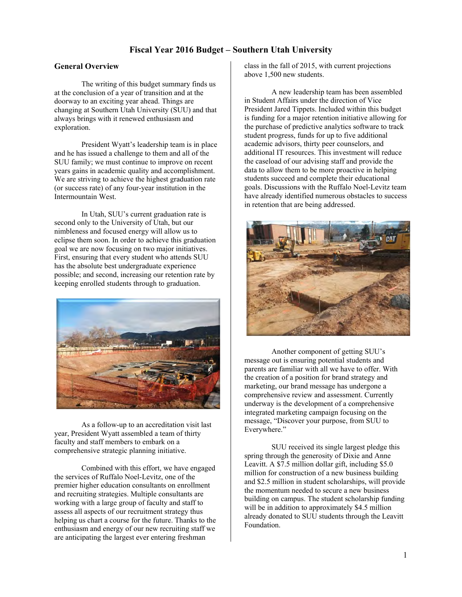## **Fiscal Year 2016 Budget – Southern Utah University**

## **General Overview**

 The writing of this budget summary finds us at the conclusion of a year of transition and at the doorway to an exciting year ahead. Things are changing at Southern Utah University (SUU) and that always brings with it renewed enthusiasm and exploration.

 President Wyatt's leadership team is in place and he has issued a challenge to them and all of the SUU family; we must continue to improve on recent years gains in academic quality and accomplishment. We are striving to achieve the highest graduation rate (or success rate) of any four-year institution in the Intermountain West.

In Utah, SUU's current graduation rate is second only to the University of Utah, but our nimbleness and focused energy will allow us to eclipse them soon. In order to achieve this graduation goal we are now focusing on two major initiatives. First, ensuring that every student who attends SUU has the absolute best undergraduate experience possible; and second, increasing our retention rate by keeping enrolled students through to graduation.



 As a follow-up to an accreditation visit last year, President Wyatt assembled a team of thirty faculty and staff members to embark on a comprehensive strategic planning initiative.

 Combined with this effort, we have engaged the services of Ruffalo Noel-Levitz, one of the premier higher education consultants on enrollment and recruiting strategies. Multiple consultants are working with a large group of faculty and staff to assess all aspects of our recruitment strategy thus helping us chart a course for the future. Thanks to the enthusiasm and energy of our new recruiting staff we are anticipating the largest ever entering freshman

class in the fall of 2015, with current projections above 1,500 new students.

 A new leadership team has been assembled in Student Affairs under the direction of Vice President Jared Tippets. Included within this budget is funding for a major retention initiative allowing for the purchase of predictive analytics software to track student progress, funds for up to five additional academic advisors, thirty peer counselors, and additional IT resources. This investment will reduce the caseload of our advising staff and provide the data to allow them to be more proactive in helping students succeed and complete their educational goals. Discussions with the Ruffalo Noel-Levitz team have already identified numerous obstacles to success in retention that are being addressed.



 Another component of getting SUU's message out is ensuring potential students and parents are familiar with all we have to offer. With the creation of a position for brand strategy and marketing, our brand message has undergone a comprehensive review and assessment. Currently underway is the development of a comprehensive integrated marketing campaign focusing on the message, "Discover your purpose, from SUU to Everywhere."

 SUU received its single largest pledge this spring through the generosity of Dixie and Anne Leavitt. A \$7.5 million dollar gift, including \$5.0 million for construction of a new business building and \$2.5 million in student scholarships, will provide the momentum needed to secure a new business building on campus. The student scholarship funding will be in addition to approximately \$4.5 million already donated to SUU students through the Leavitt Foundation.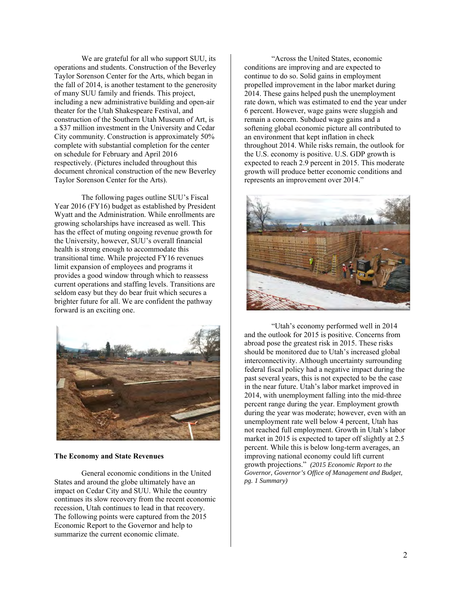We are grateful for all who support SUU, its operations and students. Construction of the Beverley Taylor Sorenson Center for the Arts, which began in the fall of 2014, is another testament to the generosity of many SUU family and friends. This project, including a new administrative building and open-air theater for the Utah Shakespeare Festival, and construction of the Southern Utah Museum of Art, is a \$37 million investment in the University and Cedar City community. Construction is approximately 50% complete with substantial completion for the center on schedule for February and April 2016 respectively. (Pictures included throughout this document chronical construction of the new Beverley Taylor Sorenson Center for the Arts).

The following pages outline SUU's Fiscal Year 2016 (FY16) budget as established by President Wyatt and the Administration. While enrollments are growing scholarships have increased as well. This has the effect of muting ongoing revenue growth for the University, however, SUU's overall financial health is strong enough to accommodate this transitional time. While projected FY16 revenues limit expansion of employees and programs it provides a good window through which to reassess current operations and staffing levels. Transitions are seldom easy but they do bear fruit which secures a brighter future for all. We are confident the pathway forward is an exciting one.



#### **The Economy and State Revenues**

General economic conditions in the United States and around the globe ultimately have an impact on Cedar City and SUU. While the country continues its slow recovery from the recent economic recession, Utah continues to lead in that recovery. The following points were captured from the 2015 Economic Report to the Governor and help to summarize the current economic climate.

"Across the United States, economic conditions are improving and are expected to continue to do so. Solid gains in employment propelled improvement in the labor market during 2014. These gains helped push the unemployment rate down, which was estimated to end the year under 6 percent. However, wage gains were sluggish and remain a concern. Subdued wage gains and a softening global economic picture all contributed to an environment that kept inflation in check throughout 2014. While risks remain, the outlook for the U.S. economy is positive. U.S. GDP growth is expected to reach 2.9 percent in 2015. This moderate growth will produce better economic conditions and represents an improvement over 2014."



"Utah's economy performed well in 2014 and the outlook for 2015 is positive. Concerns from abroad pose the greatest risk in 2015. These risks should be monitored due to Utah's increased global interconnectivity. Although uncertainty surrounding federal fiscal policy had a negative impact during the past several years, this is not expected to be the case in the near future. Utah's labor market improved in 2014, with unemployment falling into the mid-three percent range during the year. Employment growth during the year was moderate; however, even with an unemployment rate well below 4 percent, Utah has not reached full employment. Growth in Utah's labor market in 2015 is expected to taper off slightly at 2.5 percent. While this is below long-term averages, an improving national economy could lift current growth projections." *(2015 Economic Report to the Governor, Governor's Office of Management and Budget, pg. 1 Summary)*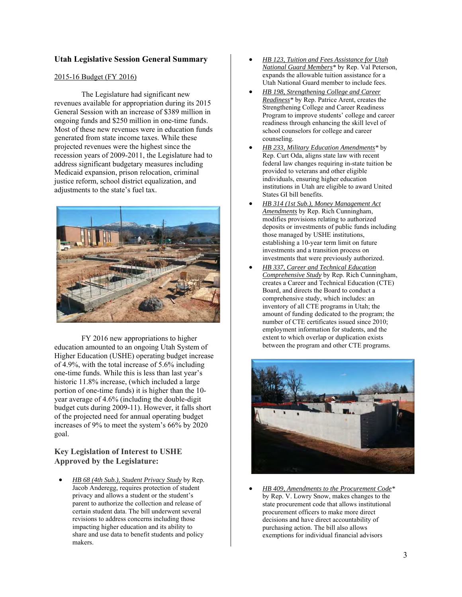## **Utah Legislative Session General Summary**

#### 2015-16 Budget (FY 2016)

The Legislature had significant new revenues available for appropriation during its 2015 General Session with an increase of \$389 million in ongoing funds and \$250 million in one-time funds. Most of these new revenues were in education funds generated from state income taxes. While these projected revenues were the highest since the recession years of 2009-2011, the Legislature had to address significant budgetary measures including Medicaid expansion, prison relocation, criminal justice reform, school district equalization, and adjustments to the state's fuel tax.



FY 2016 new appropriations to higher education amounted to an ongoing Utah System of Higher Education (USHE) operating budget increase of 4.9%, with the total increase of 5.6% including one-time funds. While this is less than last year's historic 11.8% increase, (which included a large portion of one-time funds) it is higher than the 10 year average of 4.6% (including the double-digit budget cuts during 2009-11). However, it falls short of the projected need for annual operating budget increases of 9% to meet the system's 66% by 2020 goal.

## **Key Legislation of Interest to USHE Approved by the Legislature:**

 *HB 68 (4th Sub.), Student Privacy Study* by Rep. Jacob Anderegg, requires protection of student privacy and allows a student or the student's parent to authorize the collection and release of certain student data. The bill underwent several revisions to address concerns including those impacting higher education and its ability to share and use data to benefit students and policy makers.

- *HB 123, Tuition and Fees Assistance for Utah National Guard Members\** by Rep. Val Peterson, expands the allowable tuition assistance for a Utah National Guard member to include fees.
- *HB 198, Strengthening College and Career Readiness\** by Rep. Patrice Arent, creates the Strengthening College and Career Readiness Program to improve students' college and career readiness through enhancing the skill level of school counselors for college and career counseling.
- *HB 233, Military Education Amendments\** by Rep. Curt Oda, aligns state law with recent federal law changes requiring in-state tuition be provided to veterans and other eligible individuals, ensuring higher education institutions in Utah are eligible to award United States GI bill benefits.
- *HB 314 (1st Sub.), Money Management Act Amendments* by Rep. Rich Cunningham, modifies provisions relating to authorized deposits or investments of public funds including those managed by USHE institutions, establishing a 10-year term limit on future investments and a transition process on investments that were previously authorized.
- *HB 337, Career and Technical Education Comprehensive Study* by Rep. Rich Cunningham, creates a Career and Technical Education (CTE) Board, and directs the Board to conduct a comprehensive study, which includes: an inventory of all CTE programs in Utah; the amount of funding dedicated to the program; the number of CTE certificates issued since 2010; employment information for students, and the extent to which overlap or duplication exists between the program and other CTE programs.



 *HB 409, Amendments to the Procurement Code\**  by Rep. V. Lowry Snow, makes changes to the state procurement code that allows institutional procurement officers to make more direct decisions and have direct accountability of purchasing action. The bill also allows exemptions for individual financial advisors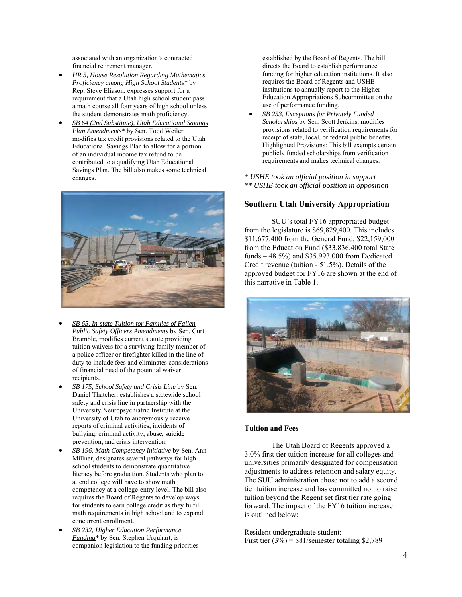associated with an organization's contracted financial retirement manager.

- *HR 5, House Resolution Regarding Mathematics Proficiency among High School Students\** by Rep. Steve Eliason, expresses support for a requirement that a Utah high school student pass a math course all four years of high school unless the student demonstrates math proficiency.
- *SB 64 (2nd Substitute), Utah Educational Savings Plan Amendments\** by Sen. Todd Weiler, modifies tax credit provisions related to the Utah Educational Savings Plan to allow for a portion of an individual income tax refund to be contributed to a qualifying Utah Educational Savings Plan. The bill also makes some technical changes.



- *SB 65, In-state Tuition for Families of Fallen Public Safety Officers Amendments* by Sen. Curt Bramble, modifies current statute providing tuition waivers for a surviving family member of a police officer or firefighter killed in the line of duty to include fees and eliminates considerations of financial need of the potential waiver recipients.
- *SB 175, School Safety and Crisis Line* by Sen. Daniel Thatcher, establishes a statewide school safety and crisis line in partnership with the University Neuropsychiatric Institute at the University of Utah to anonymously receive reports of criminal activities, incidents of bullying, criminal activity, abuse, suicide prevention, and crisis intervention.
- *SB 196, Math Competency Initiative* by Sen. Ann Millner, designates several pathways for high school students to demonstrate quantitative literacy before graduation. Students who plan to attend college will have to show math competency at a college-entry level. The bill also requires the Board of Regents to develop ways for students to earn college credit as they fulfill math requirements in high school and to expand concurrent enrollment.
- *SB 232, Higher Education Performance Funding\** by Sen. Stephen Urquhart, is companion legislation to the funding priorities

established by the Board of Regents. The bill directs the Board to establish performance funding for higher education institutions. It also requires the Board of Regents and USHE institutions to annually report to the Higher Education Appropriations Subcommittee on the use of performance funding.

- *SB 253, Exceptions for Privately Funded Scholarships* by Sen. Scott Jenkins, modifies provisions related to verification requirements for receipt of state, local, or federal public benefits. Highlighted Provisions: This bill exempts certain publicly funded scholarships from verification requirements and makes technical changes.
- *\* USHE took an official position in support \*\* USHE took an official position in opposition*

## **Southern Utah University Appropriation**

 SUU's total FY16 appropriated budget from the legislature is \$69,829,400. This includes \$11,677,400 from the General Fund, \$22,159,000 from the Education Fund (\$33,836,400 total State funds – 48.5%) and \$35,993,000 from Dedicated Credit revenue (tuition - 51.5%). Details of the approved budget for FY16 are shown at the end of this narrative in Table 1.



#### **Tuition and Fees**

 The Utah Board of Regents approved a 3.0% first tier tuition increase for all colleges and universities primarily designated for compensation adjustments to address retention and salary equity. The SUU administration chose not to add a second tier tuition increase and has committed not to raise tuition beyond the Regent set first tier rate going forward. The impact of the FY16 tuition increase is outlined below:

Resident undergraduate student: First tier  $(3\%) = $81$ /semester totaling \$2,789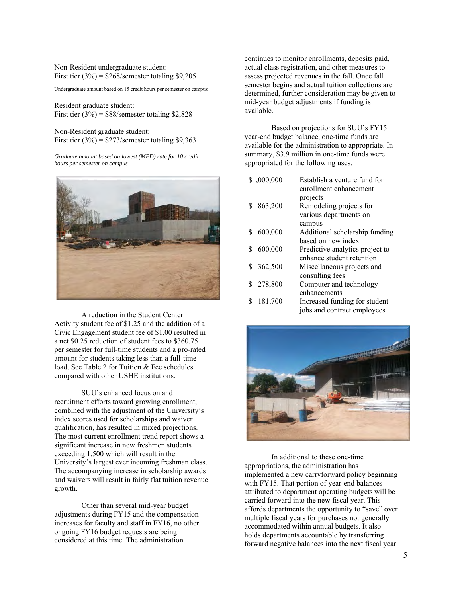Non-Resident undergraduate student: First tier  $(3\%)$  = \$268/semester totaling \$9,205

Undergraduate amount based on 15 credit hours per semester on campus

Resident graduate student: First tier  $(3\%)$  = \$88/semester totaling \$2,828

Non-Resident graduate student: First tier  $(3\%) = \frac{$273}{\text{semester} }$  totaling \$9,363

*Graduate amount based on lowest (MED) rate for 10 credit hours per semester on campus*



 A reduction in the Student Center Activity student fee of \$1.25 and the addition of a Civic Engagement student fee of \$1.00 resulted in a net \$0.25 reduction of student fees to \$360.75 per semester for full-time students and a pro-rated amount for students taking less than a full-time load. See Table 2 for Tuition & Fee schedules compared with other USHE institutions.

SUU's enhanced focus on and recruitment efforts toward growing enrollment, combined with the adjustment of the University's index scores used for scholarships and waiver qualification, has resulted in mixed projections. The most current enrollment trend report shows a significant increase in new freshmen students exceeding 1,500 which will result in the University's largest ever incoming freshman class. The accompanying increase in scholarship awards and waivers will result in fairly flat tuition revenue growth.

Other than several mid-year budget adjustments during FY15 and the compensation increases for faculty and staff in FY16, no other ongoing FY16 budget requests are being considered at this time. The administration

continues to monitor enrollments, deposits paid, actual class registration, and other measures to assess projected revenues in the fall. Once fall semester begins and actual tuition collections are determined, further consideration may be given to mid-year budget adjustments if funding is available.

Based on projections for SUU's FY15 year-end budget balance, one-time funds are available for the administration to appropriate. In summary, \$3.9 million in one-time funds were appropriated for the following uses.

|    | \$1,000,000 | Establish a venture fund for    |
|----|-------------|---------------------------------|
|    |             | enrollment enhancement          |
|    |             | projects                        |
| S  | 863,200     | Remodeling projects for         |
|    |             | various departments on          |
|    |             | campus                          |
| S  | 600,000     | Additional scholarship funding  |
|    |             | based on new index              |
| S  | 600,000     | Predictive analytics project to |
|    |             | enhance student retention       |
| S. | 362,500     | Miscellaneous projects and      |
|    |             | consulting fees                 |
| S. | 278,800     | Computer and technology         |
|    |             | enhancements                    |
|    | 181,700     | Increased funding for student   |
|    |             | jobs and contract employees     |



 In additional to these one-time appropriations, the administration has implemented a new carryforward policy beginning with FY15. That portion of year-end balances attributed to department operating budgets will be carried forward into the new fiscal year. This affords departments the opportunity to "save" over multiple fiscal years for purchases not generally accommodated within annual budgets. It also holds departments accountable by transferring forward negative balances into the next fiscal year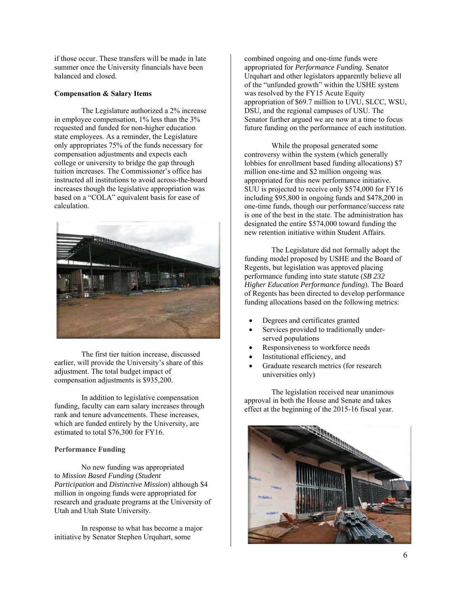if those occur. These transfers will be made in late summer once the University financials have been balanced and closed.

## **Compensation & Salary Items**

 The Legislature authorized a 2% increase in employee compensation, 1% less than the 3% requested and funded for non-higher education state employees. As a reminder, the Legislature only appropriates 75% of the funds necessary for compensation adjustments and expects each college or university to bridge the gap through tuition increases. The Commissioner's office has instructed all institutions to avoid across-the-board increases though the legislative appropriation was based on a "COLA" equivalent basis for ease of calculation.



The first tier tuition increase, discussed earlier, will provide the University's share of this adjustment. The total budget impact of compensation adjustments is \$935,200.

In addition to legislative compensation funding, faculty can earn salary increases through rank and tenure advancements. These increases, which are funded entirely by the University, are estimated to total \$76,300 for FY16.

## **Performance Funding**

No new funding was appropriated to *Mission Based Funding* (*Student Participation* and *Distinctive Mission*) although \$4 million in ongoing funds were appropriated for research and graduate programs at the University of Utah and Utah State University.

In response to what has become a major initiative by Senator Stephen Urquhart, some

combined ongoing and one-time funds were appropriated for *Performance Funding.* Senator Urquhart and other legislators apparently believe all of the "unfunded growth" within the USHE system was resolved by the FY15 Acute Equity appropriation of \$69.7 million to UVU, SLCC, WSU, DSU, and the regional campuses of USU. The Senator further argued we are now at a time to focus future funding on the performance of each institution.

While the proposal generated some controversy within the system (which generally lobbies for enrollment based funding allocations) \$7 million one-time and \$2 million ongoing was appropriated for this new performance initiative. SUU is projected to receive only \$574,000 for FY16 including \$95,800 in ongoing funds and \$478,200 in one-time funds, though our performance/success rate is one of the best in the state. The administration has designated the entire \$574,000 toward funding the new retention initiative within Student Affairs.

The Legislature did not formally adopt the funding model proposed by USHE and the Board of Regents, but legislation was approved placing performance funding into state statute (*SB 232 Higher Education Performance funding*). The Board of Regents has been directed to develop performance funding allocations based on the following metrics:

- Degrees and certificates granted
- Services provided to traditionally underserved populations
- Responsiveness to workforce needs
- Institutional efficiency, and
- Graduate research metrics (for research universities only)

The legislation received near unanimous approval in both the House and Senate and takes effect at the beginning of the 2015-16 fiscal year.

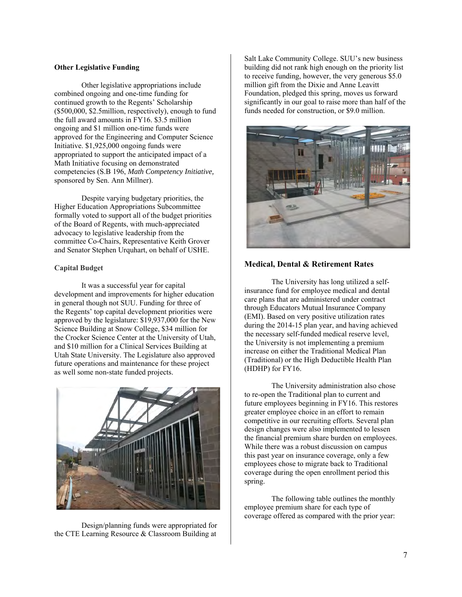#### **Other Legislative Funding**

Other legislative appropriations include combined ongoing and one-time funding for continued growth to the Regents' Scholarship (\$500,000, \$2.5million, respectively), enough to fund the full award amounts in FY16. \$3.5 million ongoing and \$1 million one-time funds were approved for the Engineering and Computer Science Initiative. \$1,925,000 ongoing funds were appropriated to support the anticipated impact of a Math Initiative focusing on demonstrated competencies (S.B 196, *Math Competency Initiative,*  sponsored by Sen. Ann Millner).

Despite varying budgetary priorities, the Higher Education Appropriations Subcommittee formally voted to support all of the budget priorities of the Board of Regents, with much-appreciated advocacy to legislative leadership from the committee Co-Chairs, Representative Keith Grover and Senator Stephen Urquhart, on behalf of USHE.

## **Capital Budget**

It was a successful year for capital development and improvements for higher education in general though not SUU. Funding for three of the Regents' top capital development priorities were approved by the legislature: \$19,937,000 for the New Science Building at Snow College, \$34 million for the Crocker Science Center at the University of Utah, and \$10 million for a Clinical Services Building at Utah State University. The Legislature also approved future operations and maintenance for these project as well some non-state funded projects.



Design/planning funds were appropriated for the CTE Learning Resource & Classroom Building at

Salt Lake Community College. SUU's new business building did not rank high enough on the priority list to receive funding, however, the very generous \$5.0 million gift from the Dixie and Anne Leavitt Foundation, pledged this spring, moves us forward significantly in our goal to raise more than half of the funds needed for construction, or \$9.0 million.



## **Medical, Dental & Retirement Rates**

 The University has long utilized a selfinsurance fund for employee medical and dental care plans that are administered under contract through Educators Mutual Insurance Company (EMI). Based on very positive utilization rates during the 2014-15 plan year, and having achieved the necessary self-funded medical reserve level, the University is not implementing a premium increase on either the Traditional Medical Plan (Traditional) or the High Deductible Health Plan (HDHP) for FY16.

The University administration also chose to re-open the Traditional plan to current and future employees beginning in FY16. This restores greater employee choice in an effort to remain competitive in our recruiting efforts. Several plan design changes were also implemented to lessen the financial premium share burden on employees. While there was a robust discussion on campus this past year on insurance coverage, only a few employees chose to migrate back to Traditional coverage during the open enrollment period this spring.

The following table outlines the monthly employee premium share for each type of coverage offered as compared with the prior year: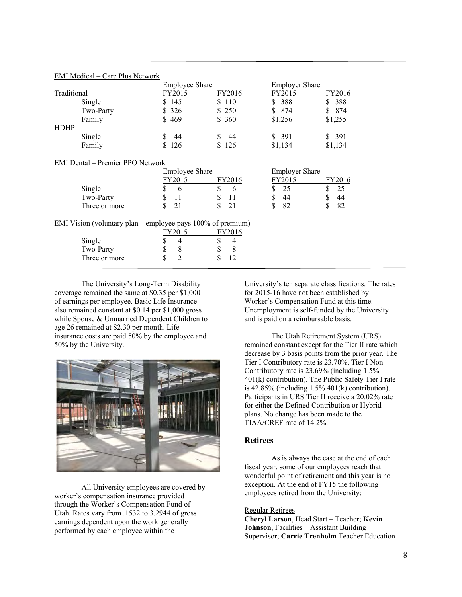|             | <b>Employee Share</b> |        | <b>Employer Share</b> |            |
|-------------|-----------------------|--------|-----------------------|------------|
| Traditional | FY2015                | FY2016 | FY2015                | FY2016     |
| Single      | \$145                 | \$110  | 388<br>S.             | 388<br>\$. |
| Two-Party   | \$326                 | \$ 250 | \$ 874                | 874<br>\$. |
| Family      | \$469                 | \$ 360 | \$1,256               | \$1,255    |
| <b>HDHP</b> |                       |        |                       |            |
| Single      | 44                    | -44    | \$ 391                | \$391      |
| Family      | \$126                 | \$126  | \$1,134               | \$1,134    |

## EMI Medical – Care Plus Network

#### EMI Dental – Premier PPO Network

|                                                                       | <b>Employee Share</b> |         | <b>Employer Share</b> |         |
|-----------------------------------------------------------------------|-----------------------|---------|-----------------------|---------|
|                                                                       | FY2015                | FY2016  | FY2015                | FY2016  |
| Single                                                                | S<br>6                | S<br>6  | -25                   | 25      |
| Two-Party                                                             | 11                    | 11      | 44                    | 44      |
| Three or more                                                         | 21                    | 21<br>S | 82                    | 82<br>S |
| <b>EMI Vision</b> (voluntary plan – employee pays $100\%$ of premium) |                       |         |                       |         |
|                                                                       | FY2015                | FY2016  |                       |         |
| Single                                                                | 4                     | 4       |                       |         |
| Two-Party                                                             | S<br>8                | 8       |                       |         |
| Three or more                                                         | J                     |         |                       |         |

 The University's Long-Term Disability coverage remained the same at \$0.35 per \$1,000 of earnings per employee. Basic Life Insurance also remained constant at \$0.14 per \$1,000 gross while Spouse & Unmarried Dependent Children to age 26 remained at \$2.30 per month. Life insurance costs are paid 50% by the employee and 50% by the University.



All University employees are covered by worker's compensation insurance provided through the Worker's Compensation Fund of Utah. Rates vary from .1532 to 3.2944 of gross earnings dependent upon the work generally performed by each employee within the

University's ten separate classifications. The rates for 2015-16 have not been established by Worker's Compensation Fund at this time. Unemployment is self-funded by the University and is paid on a reimbursable basis.

 The Utah Retirement System (URS) remained constant except for the Tier II rate which decrease by 3 basis points from the prior year. The Tier I Contributory rate is 23.70%, Tier I Non-Contributory rate is 23.69% (including 1.5% 401(k) contribution). The Public Safety Tier I rate is  $42.85\%$  (including  $1.5\%$   $401(k)$  contribution). Participants in URS Tier II receive a 20.02% rate for either the Defined Contribution or Hybrid plans. No change has been made to the TIAA/CREF rate of 14.2%.

## **Retirees**

 As is always the case at the end of each fiscal year, some of our employees reach that wonderful point of retirement and this year is no exception. At the end of FY15 the following employees retired from the University:

## Regular Retirees

**Cheryl Larson**, Head Start – Teacher; **Kevin Johnson**, Facilities – Assistant Building Supervisor; **Carrie Trenholm** Teacher Education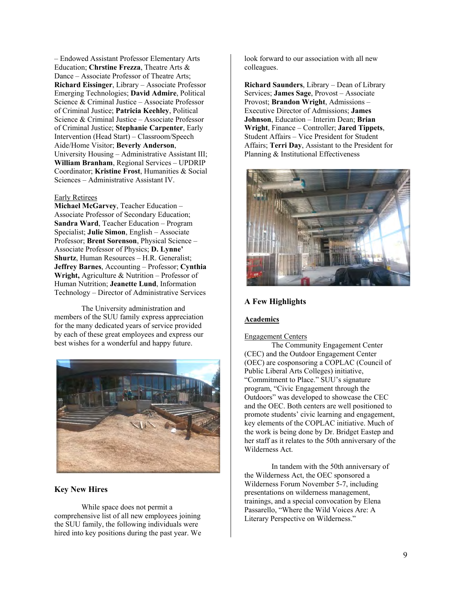– Endowed Assistant Professor Elementary Arts Education; **Chrstine Frezza**, Theatre Arts & Dance – Associate Professor of Theatre Arts; **Richard Eissinger**, Library – Associate Professor Emerging Technologies; **David Admire**, Political Science & Criminal Justice – Associate Professor of Criminal Justice; **Patricia Keehley**, Political Science & Criminal Justice – Associate Professor of Criminal Justice; **Stephanie Carpenter**, Early Intervention (Head Start) – Classroom/Speech Aide/Home Visitor; **Beverly Anderson**, University Housing – Administrative Assistant III; **William Branham**, Regional Services – UPDRIP Coordinator; **Kristine Frost**, Humanities & Social Sciences – Administrative Assistant IV.

#### Early Retirees

**Michael McGarvey**, Teacher Education – Associate Professor of Secondary Education; **Sandra Ward**, Teacher Education – Program Specialist; **Julie Simon**, English – Associate Professor; **Brent Sorenson**, Physical Science – Associate Professor of Physics; **D. Lynne' Shurtz**, Human Resources – H.R. Generalist; **Jeffrey Barnes**, Accounting – Professor; **Cynthia Wright,** Agriculture & Nutrition – Professor of Human Nutrition; **Jeanette Lund**, Information Technology – Director of Administrative Services

The University administration and members of the SUU family express appreciation for the many dedicated years of service provided by each of these great employees and express our best wishes for a wonderful and happy future.



## **Key New Hires**

While space does not permit a comprehensive list of all new employees joining the SUU family, the following individuals were hired into key positions during the past year. We look forward to our association with all new colleagues.

**Richard Saunders**, Library – Dean of Library Services; **James Sage**, Provost – Associate Provost; **Brandon Wright**, Admissions – Executive Director of Admissions; **James Johnson**, Education – Interim Dean; **Brian Wright**, Finance – Controller; **Jared Tippets**, Student Affairs – Vice President for Student Affairs; **Terri Day**, Assistant to the President for Planning & Institutional Effectiveness



## **A Few Highlights**

## **Academics**

#### Engagement Centers

The Community Engagement Center (CEC) and the Outdoor Engagement Center (OEC) are cosponsoring a COPLAC (Council of Public Liberal Arts Colleges) initiative, "Commitment to Place." SUU's signature program, "Civic Engagement through the Outdoors" was developed to showcase the CEC and the OEC. Both centers are well positioned to promote students' civic learning and engagement, key elements of the COPLAC initiative. Much of the work is being done by Dr. Bridget Eastep and her staff as it relates to the 50th anniversary of the Wilderness Act.

In tandem with the 50th anniversary of the Wilderness Act, the OEC sponsored a Wilderness Forum November 5-7, including presentations on wilderness management, trainings, and a special convocation by Elena Passarello, "Where the Wild Voices Are: A Literary Perspective on Wilderness."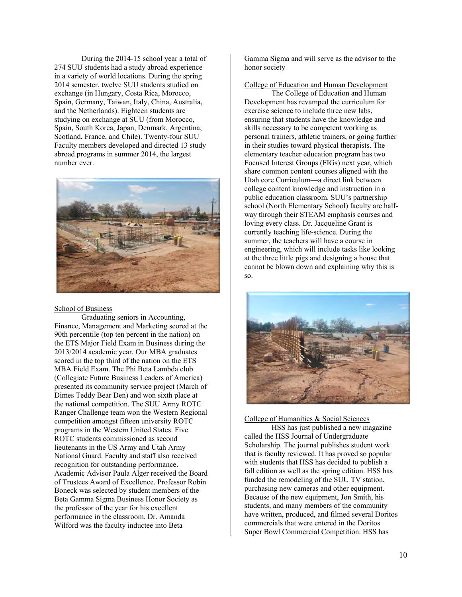During the 2014-15 school year a total of 274 SUU students had a study abroad experience in a variety of world locations. During the spring 2014 semester, twelve SUU students studied on exchange (in Hungary, Costa Rica, Morocco, Spain, Germany, Taiwan, Italy, China, Australia, and the Netherlands). Eighteen students are studying on exchange at SUU (from Morocco, Spain, South Korea, Japan, Denmark, Argentina, Scotland, France, and Chile). Twenty-four SUU Faculty members developed and directed 13 study abroad programs in summer 2014, the largest number ever.



#### School of Business

Graduating seniors in Accounting, Finance, Management and Marketing scored at the 90th percentile (top ten percent in the nation) on the ETS Major Field Exam in Business during the 2013/2014 academic year. Our MBA graduates scored in the top third of the nation on the ETS MBA Field Exam. The Phi Beta Lambda club (Collegiate Future Business Leaders of America) presented its community service project (March of Dimes Teddy Bear Den) and won sixth place at the national competition. The SUU Army ROTC Ranger Challenge team won the Western Regional competition amongst fifteen university ROTC programs in the Western United States. Five ROTC students commissioned as second lieutenants in the US Army and Utah Army National Guard. Faculty and staff also received recognition for outstanding performance. Academic Advisor Paula Alger received the Board of Trustees Award of Excellence. Professor Robin Boneck was selected by student members of the Beta Gamma Sigma Business Honor Society as the professor of the year for his excellent performance in the classroom. Dr. Amanda Wilford was the faculty inductee into Beta

Gamma Sigma and will serve as the advisor to the honor society

College of Education and Human Development

The College of Education and Human Development has revamped the curriculum for exercise science to include three new labs, ensuring that students have the knowledge and skills necessary to be competent working as personal trainers, athletic trainers, or going further in their studies toward physical therapists. The elementary teacher education program has two Focused Interest Groups (FIGs) next year, which share common content courses aligned with the Utah core Curriculum—a direct link between college content knowledge and instruction in a public education classroom. SUU's partnership school (North Elementary School) faculty are halfway through their STEAM emphasis courses and loving every class. Dr. Jacqueline Grant is currently teaching life-science. During the summer, the teachers will have a course in engineering, which will include tasks like looking at the three little pigs and designing a house that cannot be blown down and explaining why this is so.



College of Humanities & Social Sciences

HSS has just published a new magazine called the HSS Journal of Undergraduate Scholarship. The journal publishes student work that is faculty reviewed. It has proved so popular with students that HSS has decided to publish a fall edition as well as the spring edition. HSS has funded the remodeling of the SUU TV station, purchasing new cameras and other equipment. Because of the new equipment, Jon Smith, his students, and many members of the community have written, produced, and filmed several Doritos commercials that were entered in the Doritos Super Bowl Commercial Competition. HSS has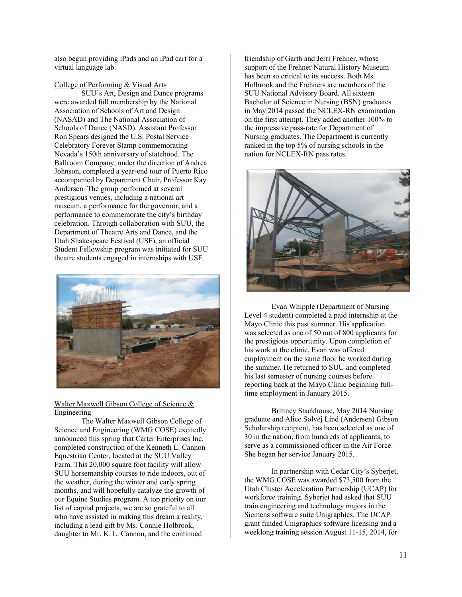also begun providing iPads and an iPad cart for a virtual language lab.

## College of Performing & Visual Arts

SUU's Art, Design and Dance programs were awarded full membership by the National Association of Schools of Art and Design (NASAD) and The National Association of Schools of Dance (NASD). Assistant Professor Ron Spears designed the U.S. Postal Service Celebratory Forever Stamp commemorating Nevada's 150th anniversary of statehood. The Ballroom Company, under the direction of Andrea Johnson, completed a year-end tour of Puerto Rico accompanied by Department Chair, Professor Kay Andersen. The group performed at several prestigious venues, including a national art museum, a performance for the governor, and a performance to commemorate the city's birthday celebration. Through collaboration with SUU, the Department of Theatre Arts and Dance, and the Utah Shakespeare Festival (USF), an official Student Fellowship program was initiated for SUU theatre students engaged in internships with USF.



## Walter Maxwell Gibson College of Science & Engineering

The Walter Maxwell Gibson College of Science and Engineering (WMG COSE) excitedly announced this spring that Carter Enterprises Inc. completed construction of the Kenneth L. Cannon Equestrian Center, located at the SUU Valley Farm. This 20,000 square foot facility will allow SUU horsemanship courses to ride indoors, out of the weather, during the winter and early spring months, and will hopefully catalyze the growth of our Equine Studies program. A top priority on our list of capital projects, we are so grateful to all who have assisted in making this dream a reality, including a lead gift by Ms. Connie Holbrook, daughter to Mr. K. L. Cannon, and the continued

friendship of Garth and Jerri Frehner, whose support of the Frehner Natural History Museum has been so critical to its success. Both Ms. Holbrook and the Frehners are members of the SUU National Advisory Board. All sixteen Bachelor of Science in Nursing (BSN) graduates in May 2014 passed the NCLEX-RN examination on the first attempt. They added another 100% to the impressive pass-rate for Department of Nursing graduates. The Department is currently ranked in the top 5% of nursing schools in the nation for NCLEX-RN pass rates.



Evan Whipple (Department of Nursing Level 4 student) completed a paid internship at the Mayo Clinic this past summer. His application was selected as one of 50 out of 800 applicants for the prestigious opportunity. Upon completion of his work at the clinic, Evan was offered employment on the same floor he worked during the summer. He returned to SUU and completed his last semester of nursing courses before reporting back at the Mayo Clinic beginning fulltime employment in January 2015.

Brittney Stackhouse, May 2014 Nursing graduate and Alice Solvej Lind (Andersen) Gibson Scholarship recipient, has been selected as one of 30 in the nation, from hundreds of applicants, to serve as a commissioned officer in the Air Force. She began her service January 2015.

In partnership with Cedar City's Syberjet, the WMG COSE was awarded \$73,500 from the Utah Cluster Acceleration Partnership (UCAP) for workforce training. Syberjet had asked that SUU train engineering and technology majors in the Siemens software suite Unigraphics. The UCAP grant funded Unigraphics software licensing and a weeklong training session August 11-15, 2014, for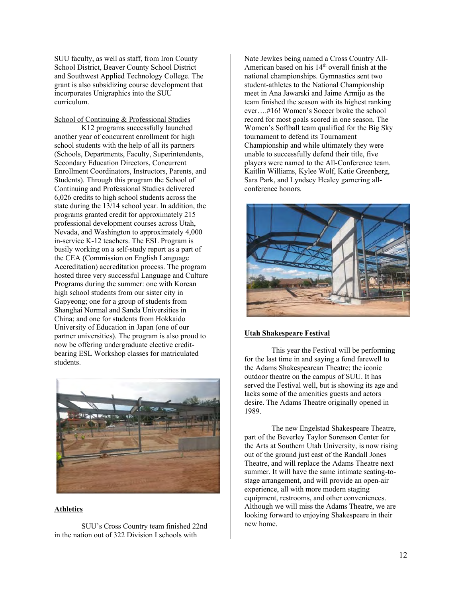SUU faculty, as well as staff, from Iron County School District, Beaver County School District and Southwest Applied Technology College. The grant is also subsidizing course development that incorporates Unigraphics into the SUU curriculum.

## School of Continuing & Professional Studies

K12 programs successfully launched another year of concurrent enrollment for high school students with the help of all its partners (Schools, Departments, Faculty, Superintendents, Secondary Education Directors, Concurrent Enrollment Coordinators, Instructors, Parents, and Students). Through this program the School of Continuing and Professional Studies delivered 6,026 credits to high school students across the state during the 13/14 school year. In addition, the programs granted credit for approximately 215 professional development courses across Utah, Nevada, and Washington to approximately 4,000 in-service K-12 teachers. The ESL Program is busily working on a self-study report as a part of the CEA (Commission on English Language Accreditation) accreditation process. The program hosted three very successful Language and Culture Programs during the summer: one with Korean high school students from our sister city in Gapyeong; one for a group of students from Shanghai Normal and Sanda Universities in China; and one for students from Hokkaido University of Education in Japan (one of our partner universities). The program is also proud to now be offering undergraduate elective creditbearing ESL Workshop classes for matriculated students.



## **Athletics**

SUU's Cross Country team finished 22nd in the nation out of 322 Division I schools with

Nate Jewkes being named a Cross Country All-American based on his 14<sup>th</sup> overall finish at the national championships. Gymnastics sent two student-athletes to the National Championship meet in Ana Jawarski and Jaime Armijo as the team finished the season with its highest ranking ever….#16! Women's Soccer broke the school record for most goals scored in one season. The Women's Softball team qualified for the Big Sky tournament to defend its Tournament Championship and while ultimately they were unable to successfully defend their title, five players were named to the All-Conference team. Kaitlin Williams, Kylee Wolf, Katie Greenberg, Sara Park, and Lyndsey Healey garnering allconference honors.



#### **Utah Shakespeare Festival**

 This year the Festival will be performing for the last time in and saying a fond farewell to the Adams Shakespearean Theatre; the iconic outdoor theatre on the campus of SUU. It has served the Festival well, but is showing its age and lacks some of the amenities guests and actors desire. The Adams Theatre originally opened in 1989.

 The new Engelstad Shakespeare Theatre, part of the Beverley Taylor Sorenson Center for the Arts at Southern Utah University, is now rising out of the ground just east of the Randall Jones Theatre, and will replace the Adams Theatre next summer. It will have the same intimate seating-tostage arrangement, and will provide an open-air experience, all with more modern staging equipment, restrooms, and other conveniences. Although we will miss the Adams Theatre, we are looking forward to enjoying Shakespeare in their new home.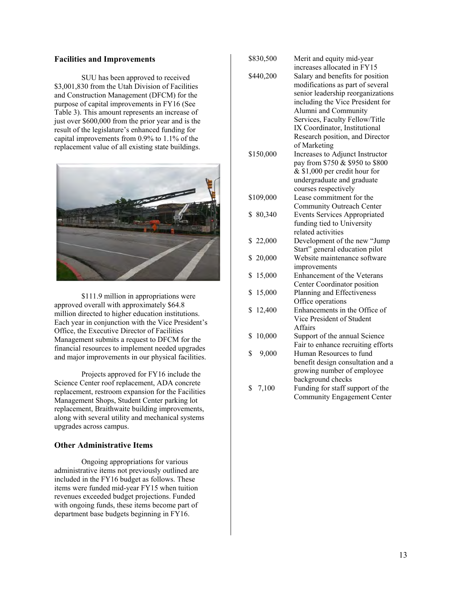#### **Facilities and Improvements**

 SUU has been approved to received \$3,001,830 from the Utah Division of Facilities and Construction Management (DFCM) for the purpose of capital improvements in FY16 (See Table 3). This amount represents an increase of just over \$600,000 from the prior year and is the result of the legislature's enhanced funding for capital improvements from 0.9% to 1.1% of the replacement value of all existing state buildings.



\$111.9 million in appropriations were approved overall with approximately \$64.8 million directed to higher education institutions. Each year in conjunction with the Vice President's Office, the Executive Director of Facilities Management submits a request to DFCM for the financial resources to implement needed upgrades and major improvements in our physical facilities.

 Projects approved for FY16 include the Science Center roof replacement, ADA concrete replacement, restroom expansion for the Facilities Management Shops, Student Center parking lot replacement, Braithwaite building improvements, along with several utility and mechanical systems upgrades across campus.

## **Other Administrative Items**

 Ongoing appropriations for various administrative items not previously outlined are included in the FY16 budget as follows. These items were funded mid-year FY15 when tuition revenues exceeded budget projections. Funded with ongoing funds, these items become part of department base budgets beginning in FY16.

| \$830,500    | Merit and equity mid-year           |
|--------------|-------------------------------------|
|              | increases allocated in FY15         |
| \$440,200    | Salary and benefits for position    |
|              | modifications as part of several    |
|              | senior leadership reorganizations   |
|              | including the Vice President for    |
|              | Alumni and Community                |
|              | Services, Faculty Fellow/Title      |
|              | IX Coordinator, Institutional       |
|              | Research position, and Director     |
|              | of Marketing                        |
| \$150,000    | Increases to Adjunct Instructor     |
|              | pay from \$750 & \$950 to \$800     |
|              | & \$1,000 per credit hour for       |
|              | undergraduate and graduate          |
|              | courses respectively                |
| \$109,000    | Lease commitment for the            |
|              | Community Outreach Center           |
| \$80,340     | <b>Events Services Appropriated</b> |
|              | funding tied to University          |
|              | related activities                  |
| \$22,000     | Development of the new "Jump        |
|              | Start" general education pilot      |
| \$20,000     | Website maintenance software        |
|              | improvements                        |
| \$<br>15,000 | Enhancement of the Veterans         |
|              | Center Coordinator position         |
| \$<br>15,000 | Planning and Effectiveness          |
|              | Office operations                   |
| \$<br>12,400 | Enhancements in the Office of       |
|              | Vice President of Student           |
|              | <b>Affairs</b>                      |
| 10,000<br>\$ | Support of the annual Science       |
|              | Fair to enhance recruiting efforts  |
| \$<br>9,000  | Human Resources to fund             |
|              | benefit design consultation and a   |
|              | growing number of employee          |
|              | background checks                   |
| \$<br>7,100  | Funding for staff support of the    |
|              | <b>Community Engagement Center</b>  |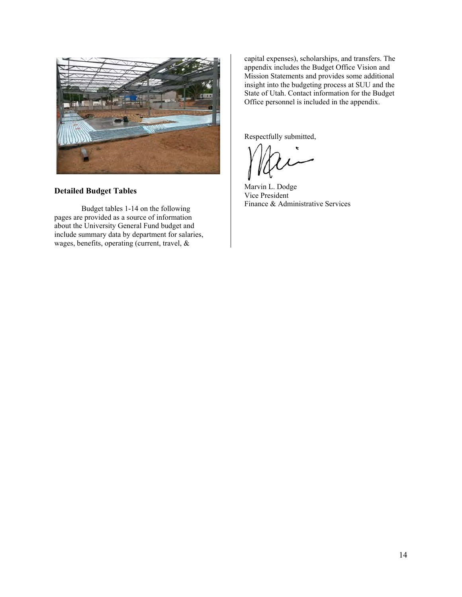

## **Detailed Budget Tables**

 Budget tables 1-14 on the following pages are provided as a source of information about the University General Fund budget and include summary data by department for salaries, wages, benefits, operating (current, travel, &

capital expenses), scholarships, and transfers. The appendix includes the Budget Office Vision and Mission Statements and provides some additional insight into the budgeting process at SUU and the State of Utah. Contact information for the Budget Office personnel is included in the appendix.

Respectfully submitted,

Marvin L. Dodge Vice President Finance & Administrative Services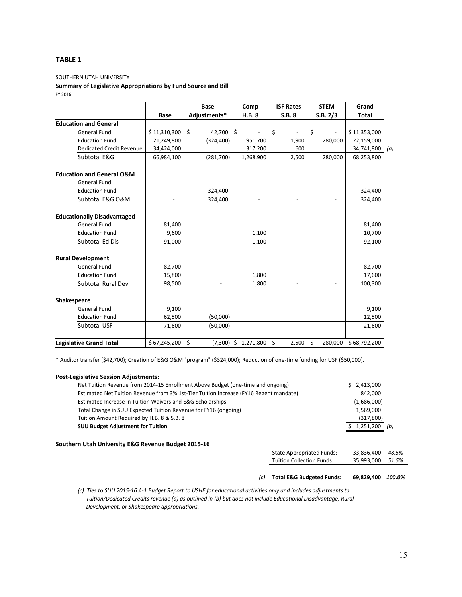## **TABLE 1**

#### SOUTHERN UTAH UNIVERSITY

# **Summary of Legislative Appropriations by Fund Source and Bill**

FY 2016

|                                      |              | <b>Base</b>              | Comp                   | <b>ISF Rates</b> | <b>STEM</b>        | Grand             |
|--------------------------------------|--------------|--------------------------|------------------------|------------------|--------------------|-------------------|
|                                      | <b>Base</b>  | Adjustments*             | H.B. 8                 | S.B.8            | S.B. 2/3           | <b>Total</b>      |
| <b>Education and General</b>         |              |                          |                        |                  |                    |                   |
| <b>General Fund</b>                  | \$11,310,300 | 42,700 \$<br>Ŝ.          |                        | \$               | \$                 | \$11,353,000      |
| <b>Education Fund</b>                | 21,249,800   | (324, 400)               | 951,700                | 1,900            | 280,000            | 22,159,000        |
| <b>Dedicated Credit Revenue</b>      | 34,424,000   |                          | 317,200                | 600              |                    | 34,741,800<br>(a) |
| Subtotal E&G                         | 66,984,100   | (281,700)                | 1,268,900              | 2,500            | 280,000            | 68,253,800        |
| <b>Education and General O&amp;M</b> |              |                          |                        |                  |                    |                   |
| <b>General Fund</b>                  |              |                          |                        |                  |                    |                   |
| <b>Education Fund</b>                |              | 324,400                  |                        |                  |                    | 324,400           |
| Subtotal E&G O&M                     |              | 324,400                  |                        |                  |                    | 324,400           |
| <b>Educationally Disadvantaged</b>   |              |                          |                        |                  |                    |                   |
| <b>General Fund</b>                  | 81,400       |                          |                        |                  |                    | 81,400            |
| <b>Education Fund</b>                | 9,600        |                          | 1,100                  |                  |                    | 10,700            |
| Subtotal Ed Dis                      | 91,000       | $\overline{\phantom{a}}$ | 1,100                  |                  | $\overline{a}$     | 92,100            |
| <b>Rural Development</b>             |              |                          |                        |                  |                    |                   |
| <b>General Fund</b>                  | 82,700       |                          |                        |                  |                    | 82,700            |
| <b>Education Fund</b>                | 15,800       |                          | 1,800                  |                  |                    | 17,600            |
| <b>Subtotal Rural Dev</b>            | 98,500       |                          | 1,800                  |                  |                    | 100,300           |
| <b>Shakespeare</b>                   |              |                          |                        |                  |                    |                   |
| General Fund                         | 9,100        |                          |                        |                  |                    | 9,100             |
| <b>Education Fund</b>                | 62,500       | (50,000)                 |                        |                  |                    | 12,500            |
| Subtotal USF                         | 71,600       | (50,000)                 |                        |                  |                    | 21,600            |
| <b>Legislative Grand Total</b>       | \$67,245,200 | Ś.                       | $(7,300)$ \$ 1,271,800 | \$<br>2,500      | $\zeta$<br>280,000 | \$68,792,200      |

\* Auditor transfer (\$42,700); Creation of E&G O&M "program" (\$324,000); Reduction of one‐time funding for USF (\$50,000).

| <b>Post-Legislative Session Adjustments:</b>                                          |                  |
|---------------------------------------------------------------------------------------|------------------|
| Net Tuition Revenue from 2014-15 Enrollment Above Budget (one-time and ongoing)       | \$2,413,000      |
| Estimated Net Tuition Revenue from 3% 1st-Tier Tuition Increase (FY16 Regent mandate) | 842.000          |
| Estimated Increase in Tuition Waivers and E&G Scholarships                            | (1,686,000)      |
| Total Change in SUU Expected Tuition Revenue for FY16 (ongoing)                       | 1,569,000        |
| Tuition Amount Required by H.B. 8 & S.B. 8                                            | (317,800)        |
| <b>SUU Budget Adjustment for Tuition</b>                                              | 1,251,200<br>(b) |

## **Southern Utah University E&G Revenue Budget 2015‐16**

| (c) | <b>Total E&amp;G Budgeted Funds:</b>                                 | 69,829,400   100.0%            |       |
|-----|----------------------------------------------------------------------|--------------------------------|-------|
|     | <b>State Appropriated Funds:</b><br><b>Tuition Collection Funds:</b> | 33,836,400 48.5%<br>35.993.000 | 51.5% |
|     |                                                                      |                                |       |

(c) Ties to SUU 2015-16 A-1 Budget Report to USHE for educational activities only and includes adjustments to Tuition/Dedicated Credits revenue (a) as outlined in (b) but does not include Educational Disadvantage, Rural *Development, or Shakespeare appropriations.*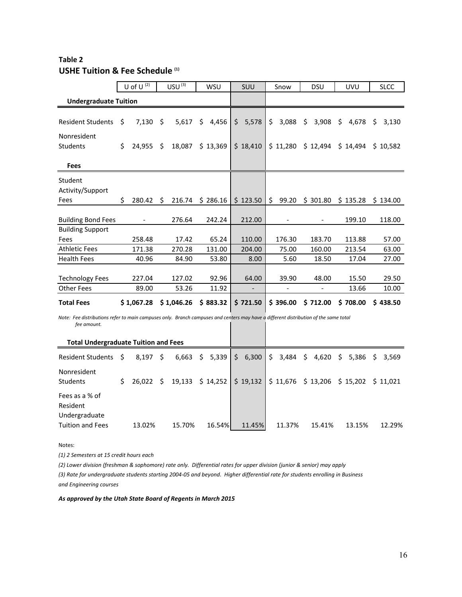# **Table 2 USHE Tuition & Fee Schedule (1)**

|                                                                                                                                                     |     | U of U $(2)$ |    | USU <sup>(3)</sup> | <b>WSU</b>  | SUU         |     | Snow     | <b>DSU</b> |          | UVU |          | <b>SLCC</b> |          |
|-----------------------------------------------------------------------------------------------------------------------------------------------------|-----|--------------|----|--------------------|-------------|-------------|-----|----------|------------|----------|-----|----------|-------------|----------|
| <b>Undergraduate Tuition</b>                                                                                                                        |     |              |    |                    |             |             |     |          |            |          |     |          |             |          |
|                                                                                                                                                     |     |              |    |                    |             |             |     |          |            |          |     |          |             |          |
| <b>Resident Students</b>                                                                                                                            | Ś.  | 7,130        | Ŝ. | 5,617              | \$<br>4,456 | \$<br>5,578 | Ś.  | 3,088    | \$         | 3,908    | \$  | 4,678    | \$.         | 3,130    |
| Nonresident                                                                                                                                         |     |              |    |                    |             |             |     |          |            |          |     |          |             |          |
| <b>Students</b>                                                                                                                                     | \$  | 24,955       | Ŝ. | 18,087             | \$13,369    | \$18,410    |     | \$11,280 |            | \$12,494 |     | \$14,494 |             | \$10,582 |
|                                                                                                                                                     |     |              |    |                    |             |             |     |          |            |          |     |          |             |          |
| <b>Fees</b>                                                                                                                                         |     |              |    |                    |             |             |     |          |            |          |     |          |             |          |
| Student                                                                                                                                             |     |              |    |                    |             |             |     |          |            |          |     |          |             |          |
| Activity/Support                                                                                                                                    |     |              |    |                    |             |             |     |          |            |          |     |          |             |          |
| Fees                                                                                                                                                | \$. | 280.42       | Ŝ. | 216.74             | \$286.16    | \$123.50    | \$. | 99.20    |            | \$301.80 |     | \$135.28 |             | \$134.00 |
|                                                                                                                                                     |     |              |    |                    |             |             |     |          |            |          |     |          |             |          |
| <b>Building Bond Fees</b>                                                                                                                           |     |              |    | 276.64             | 242.24      | 212.00      |     |          |            |          |     | 199.10   |             | 118.00   |
| <b>Building Support</b>                                                                                                                             |     |              |    |                    |             |             |     |          |            |          |     |          |             |          |
| Fees                                                                                                                                                |     | 258.48       |    | 17.42              | 65.24       | 110.00      |     | 176.30   |            | 183.70   |     | 113.88   |             | 57.00    |
| <b>Athletic Fees</b>                                                                                                                                |     | 171.38       |    | 270.28             | 131.00      | 204.00      |     | 75.00    |            | 160.00   |     | 213.54   |             | 63.00    |
| <b>Health Fees</b>                                                                                                                                  |     | 40.96        |    | 84.90              | 53.80       | 8.00        |     | 5.60     |            | 18.50    |     | 17.04    |             | 27.00    |
|                                                                                                                                                     |     |              |    |                    |             |             |     |          |            |          |     |          |             |          |
| <b>Technology Fees</b>                                                                                                                              |     | 227.04       |    | 127.02             | 92.96       | 64.00       |     | 39.90    |            | 48.00    |     | 15.50    |             | 29.50    |
| <b>Other Fees</b>                                                                                                                                   |     | 89.00        |    | 53.26              | 11.92       |             |     |          |            |          |     | 13.66    |             | 10.00    |
| <b>Total Fees</b>                                                                                                                                   |     | \$1,067.28   |    | \$1,046.26         | \$883.32    | \$721.50    |     | \$396.00 |            | \$712.00 |     | \$708.00 |             | \$438.50 |
| Note: Fee distributions refer to main campuses only. Branch campuses and centers may have a different distribution of the same total<br>fee amount. |     |              |    |                    |             |             |     |          |            |          |     |          |             |          |

| <b>Total Undergraduate Tuition and Fees</b>                            |    |        |      |                                                                      |  |        |  |        |        |        |        |                     |          |
|------------------------------------------------------------------------|----|--------|------|----------------------------------------------------------------------|--|--------|--|--------|--------|--------|--------|---------------------|----------|
| Resident Students \$                                                   |    | 8,197  | - \$ | $6,663$ \$ 5,339 \$ 6,300 \$ 3,484 \$ 4,620 \$ 5,386                 |  |        |  |        |        |        |        | $\ddot{\mathsf{S}}$ | 3,569    |
| <b>Nonresident</b><br><b>Students</b>                                  | Ś. | 26.022 | Ŝ.   | $19,133 \div 14,252 \div 19,132 \div 11,676 \div 13,206 \div 15,202$ |  |        |  |        |        |        |        |                     | \$11.021 |
| Fees as a % of<br>Resident<br>Undergraduate<br><b>Tuition and Fees</b> |    | 13.02% |      | 15.70%                                                               |  | 16.54% |  | 11.45% | 11.37% | 15.41% | 13.15% |                     | 12.29%   |

Notes:

*(1) 2 Semesters at 15 credit hours each*

(2) Lower division (freshman & sophomore) rate only. Differential rates for upper division (junior & senior) may apply

(3) Rate for undergraduate students starting 2004-05 and beyond. Higher differential rate for students enrolling in Business *and Engineering courses*

*As approved by the Utah State Board of Regents in March 2015*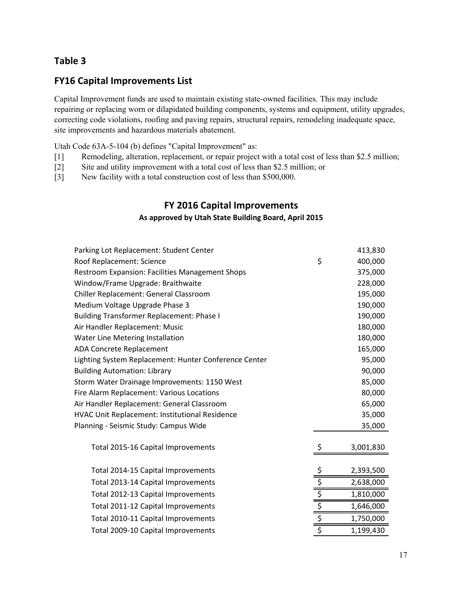# **Table 3**

# **FY16 Capital Improvements List**

Capital Improvement funds are used to maintain existing state-owned facilities. This may include repairing or replacing worn or dilapidated building components, systems and equipment, utility upgrades, correcting code violations, roofing and paving repairs, structural repairs, remodeling inadequate space, site improvements and hazardous materials abatement.

Utah Code 63A-5-104 (b) defines "Capital Improvement" as:

- [1] Remodeling, alteration, replacement, or repair project with a total cost of less than \$2.5 million;
- [2] Site and utility improvement with a total cost of less than \$2.5 million; or
- [3] New facility with a total construction cost of less than \$500,000.

# **FY 2016 Capital Improvements**

## **As approved by Utah State Building Board, April 2015**

| Parking Lot Replacement: Student Center                |               | 413,830   |
|--------------------------------------------------------|---------------|-----------|
| Roof Replacement: Science                              | \$            | 400,000   |
| <b>Restroom Expansion: Facilities Management Shops</b> |               | 375,000   |
| Window/Frame Upgrade: Braithwaite                      |               | 228,000   |
| Chiller Replacement: General Classroom                 |               | 195,000   |
| Medium Voltage Upgrade Phase 3                         |               | 190,000   |
| <b>Building Transformer Replacement: Phase I</b>       |               | 190,000   |
| Air Handler Replacement: Music                         |               | 180,000   |
| Water Line Metering Installation                       |               | 180,000   |
| <b>ADA Concrete Replacement</b>                        |               | 165,000   |
| Lighting System Replacement: Hunter Conference Center  |               | 95,000    |
| <b>Building Automation: Library</b>                    |               | 90,000    |
| Storm Water Drainage Improvements: 1150 West           |               | 85,000    |
| Fire Alarm Replacement: Various Locations              |               | 80,000    |
| Air Handler Replacement: General Classroom             |               | 65,000    |
| HVAC Unit Replacement: Institutional Residence         |               | 35,000    |
| Planning - Seismic Study: Campus Wide                  |               | 35,000    |
| Total 2015-16 Capital Improvements                     | \$            | 3,001,830 |
| Total 2014-15 Capital Improvements                     |               | 2,393,500 |
| Total 2013-14 Capital Improvements                     |               | 2,638,000 |
| Total 2012-13 Capital Improvements                     | $\frac{s}{s}$ | 1,810,000 |
| Total 2011-12 Capital Improvements                     |               | 1,646,000 |
| Total 2010-11 Capital Improvements                     |               | 1,750,000 |
| Total 2009-10 Capital Improvements                     | \$            | 1,199,430 |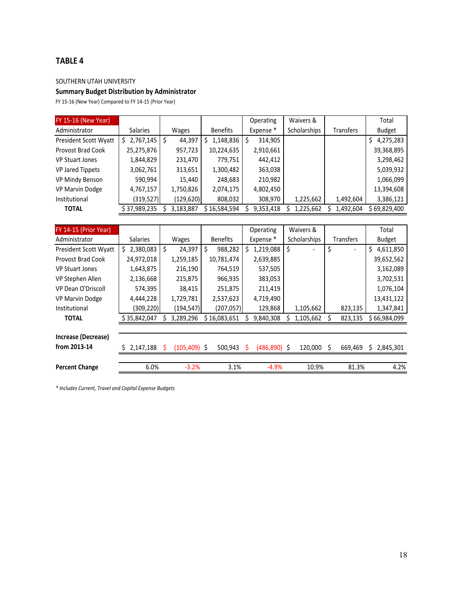## **TABLE 4**

SOUTHERN UTAH UNIVERSITY

## **Summary Budget Distribution by Administrator**

FY 15‐16 (New Year) Compared to FY 14‐15 (Prior Year)

| <b>FY 15-16 (New Year)</b> |                 |               |                 | Operating | Waivers &    |                  | Total            |
|----------------------------|-----------------|---------------|-----------------|-----------|--------------|------------------|------------------|
| Administrator              | <b>Salaries</b> | Wages         | <b>Benefits</b> | Expense * | Scholarships | <b>Transfers</b> | <b>Budget</b>    |
| President Scott Wyatt      | 2,767,145       | 44,397<br>\$. | 1,148,836<br>S  | 314,905   |              |                  | 4,275,283<br>\$. |
| Provost Brad Cook          | 25,275,876      | 957,723       | 10,224,635      | 2,910,661 |              |                  | 39,368,895       |
| <b>VP Stuart Jones</b>     | 1,844,829       | 231,470       | 779,751         | 442,412   |              |                  | 3,298,462        |
| <b>VP Jared Tippets</b>    | 3,062,761       | 313,651       | 1,300,482       | 363,038   |              |                  | 5,039,932        |
| VP Mindy Benson            | 590,994         | 15,440        | 248,683         | 210,982   |              |                  | 1,066,099        |
| <b>VP Marvin Dodge</b>     | 4,767,157       | 1,750,826     | 2,074,175       | 4,802,450 |              |                  | 13,394,608       |
| Institutional              | (319,527)       | (129,620)     | 808,032         | 308,970   | 1,225,662    | 1,492,604        | 3,386,121        |
| <b>TOTAL</b>               | \$ 37,989,235   | 3,183,887     | \$16,584,594    | 9,353,418 | 1,225,662    | 1,492,604        | \$69,829,400     |

| FY 14-15 (Prior Year)    |                  |                 |                 | Operating            | Waivers &           |                  | Total           |
|--------------------------|------------------|-----------------|-----------------|----------------------|---------------------|------------------|-----------------|
| Administrator            | <b>Salaries</b>  | Wages           | <b>Benefits</b> | Expense <sup>*</sup> | <b>Scholarships</b> | <b>Transfers</b> | Budget          |
| President Scott Wyatt    | 2,380,083<br>\$. | Ŝ.<br>24,397    | Ś.<br>988,282   | 1,219,088<br>S.      | Ŝ.                  | \$               | 4,611,850<br>\$ |
| <b>Provost Brad Cook</b> | 24,972,018       | 1,259,185       | 10,781,474      | 2,639,885            |                     |                  | 39,652,562      |
| <b>VP Stuart Jones</b>   | 1,643,875        | 216,190         | 764,519         | 537,505              |                     |                  | 3,162,089       |
| VP Stephen Allen         | 2,136,668        | 215,875         | 966,935         | 383,053              |                     |                  | 3,702,531       |
| VP Dean O'Driscoll       | 574,395          | 38,415          | 251,875         | 211,419              |                     |                  | 1,076,104       |
| <b>VP Marvin Dodge</b>   | 4,444,228        | 1,729,781       | 2,537,623       | 4,719,490            |                     |                  | 13,431,122      |
| Institutional            | (309, 220)       | (194,547)       | (207, 057)      | 129,868              | 1,105,662           | 823,135          | 1,347,841       |
| <b>TOTAL</b>             | \$35,842,047     | 3,289,296       | \$16,083,651    | 9,840,308            | 1,105,662           | 823,135          | \$66,984,099    |
|                          |                  |                 |                 |                      |                     |                  |                 |
| Increase (Decrease)      |                  |                 |                 |                      |                     |                  |                 |
| from 2013-14             | 2,147,188        | $(105, 409)$ \$ | 500,943         | $(486, 890)$ \$<br>S | 120.000             | Ś<br>669.469     | 2,845,301<br>S. |
|                          |                  |                 |                 |                      |                     |                  |                 |
| <b>Percent Change</b>    | 6.0%             | $-3.2%$         | 3.1%            | $-4.9%$              | 10.9%               | 81.3%            |                 |

*\* Includes Current, Travel and Capital Expense Budgets*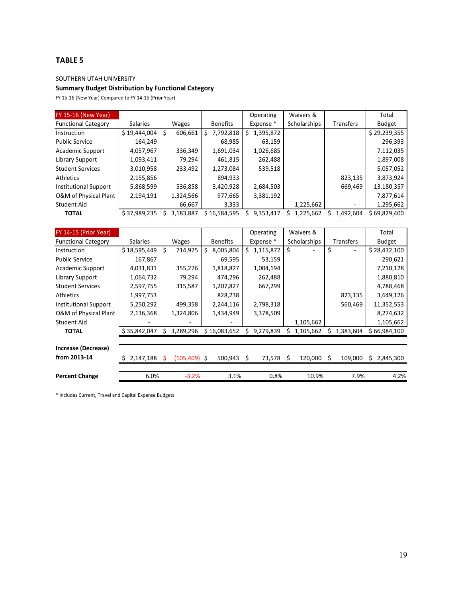## **TABLE 5**

SOUTHERN UTAH UNIVERSITY

## **Summary Budget Distribution by Functional Category**

FY 15‐16 (New Year) Compared to FY 14‐15 (Prior Year)

| <b>FY 15-16 (New Year)</b>   |                 |              |                 | Operating       | Waivers &           |                  | Total         |
|------------------------------|-----------------|--------------|-----------------|-----------------|---------------------|------------------|---------------|
| <b>Functional Category</b>   | <b>Salaries</b> | Wages        | <b>Benefits</b> | Expense *       | <b>Scholarships</b> | <b>Transfers</b> | <b>Budget</b> |
| Instruction                  | \$19,444,004    | 606,661<br>S | 7,792,818<br>S. | 1,395,872<br>S. |                     |                  | \$29,239,355  |
| <b>Public Service</b>        | 164,249         |              | 68,985          | 63,159          |                     |                  | 296,393       |
| Academic Support             | 4,057,967       | 336,349      | 1,691,034       | 1,026,685       |                     |                  | 7,112,035     |
| Library Support              | 1,093,411       | 79,294       | 461,815         | 262,488         |                     |                  | 1,897,008     |
| <b>Student Services</b>      | 3,010,958       | 233,492      | 1,273,084       | 539,518         |                     |                  | 5,057,052     |
| <b>Athletics</b>             | 2,155,856       |              | 894,933         |                 |                     | 823,135          | 3,873,924     |
| <b>Institutional Support</b> | 5,868,599       | 536,858      | 3,420,928       | 2,684,503       |                     | 669,469          | 13,180,357    |
| O&M of Physical Plant        | 2,194,191       | 1,324,566    | 977,665         | 3,381,192       |                     |                  | 7,877,614     |
| Student Aid                  |                 | 66,667       | 3,333           |                 | 1,225,662           |                  | 1,295,662     |
| <b>TOTAL</b>                 | \$ 37,989,235   | 3,183,887    | \$16,584,595    | 9,353,417       | 1,225,662           | 1,492,604        | \$69,829,400  |

| FY 14-15 (Prior Year)        |              |                |                 | Operating               | Waivers &    |                  | Total           |
|------------------------------|--------------|----------------|-----------------|-------------------------|--------------|------------------|-----------------|
| <b>Functional Category</b>   | Salaries     | Wages          | <b>Benefits</b> | Expense*                | Scholarships | <b>Transfers</b> | <b>Budget</b>   |
| Instruction                  | \$18,595,449 | \$<br>714,975  | 8,005,804<br>Ś. | \$.<br>1,115,872        | \$           | \$               | \$28,432,100    |
| <b>Public Service</b>        | 167,867      |                | 69,595          | 53,159                  |              |                  | 290,621         |
| <b>Academic Support</b>      | 4,031,831    | 355,276        | 1,818,827       | 1,004,194               |              |                  | 7,210,128       |
| Library Support              | 1,064,732    | 79,294         | 474,296         | 262,488                 |              |                  | 1,880,810       |
| <b>Student Services</b>      | 2,597,755    | 315,587        | 1,207,827       | 667,299                 |              |                  | 4,788,468       |
| <b>Athletics</b>             | 1,997,753    |                | 828,238         |                         |              | 823,135          | 3,649,126       |
| <b>Institutional Support</b> | 5,250,292    | 499,358        | 2,244,116       | 2,798,318               |              | 560,469          | 11,352,553      |
| O&M of Physical Plant        | 2,136,368    | 1,324,806      | 1,434,949       | 3,378,509               |              |                  | 8,274,632       |
| Student Aid                  |              |                |                 |                         | 1,105,662    |                  | 1,105,662       |
| <b>TOTAL</b>                 | \$35,842,047 | Ś<br>3,289,296 | \$16,083,652    | 9,279,839               | 1,105,662    | 1,383,604        | \$66,984,100    |
|                              |              |                |                 |                         |              |                  |                 |
| Increase (Decrease)          |              |                |                 |                         |              |                  |                 |
| from 2013-14                 | 2,147,188    | (105,409) \$   | 500,943         | 73,578<br><sup>\$</sup> | 120,000<br>S | Ŝ<br>109,000     | 2,845,300<br>S. |
|                              |              |                |                 |                         |              |                  |                 |
| <b>Percent Change</b>        | 6.0%         | $-3.2%$        | 3.1%            | 0.8%                    | 10.9%        | 7.9%             | 4.2%            |

\* Includes Current, Travel and Capital Expense Budgets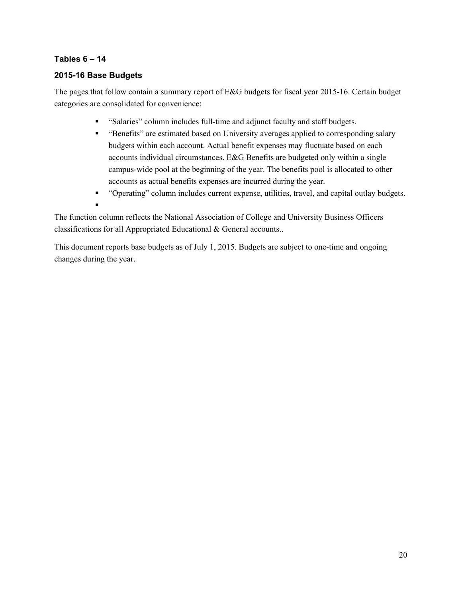## **Tables 6 – 14**

## **2015-16 Base Budgets**

The pages that follow contain a summary report of E&G budgets for fiscal year 2015-16. Certain budget categories are consolidated for convenience:

- "Salaries" column includes full-time and adjunct faculty and staff budgets.
- "Benefits" are estimated based on University averages applied to corresponding salary budgets within each account. Actual benefit expenses may fluctuate based on each accounts individual circumstances. E&G Benefits are budgeted only within a single campus-wide pool at the beginning of the year. The benefits pool is allocated to other accounts as actual benefits expenses are incurred during the year.
- "Operating" column includes current expense, utilities, travel, and capital outlay budgets.
- $\blacksquare$

The function column reflects the National Association of College and University Business Officers classifications for all Appropriated Educational & General accounts..

This document reports base budgets as of July 1, 2015. Budgets are subject to one-time and ongoing changes during the year.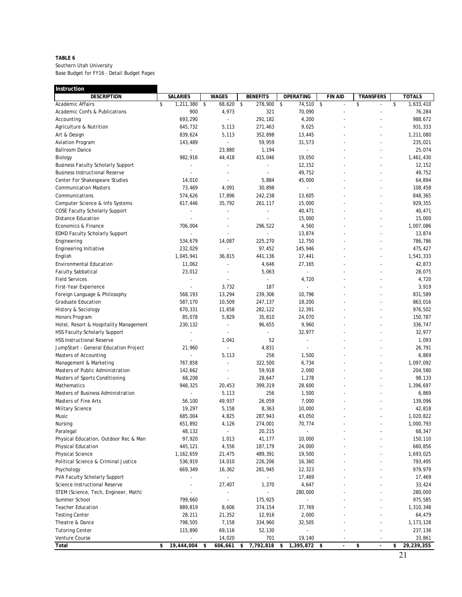#### **TABLE 6**

| Instruction                               |                          |                          |                         |                          |                |                                |                  |
|-------------------------------------------|--------------------------|--------------------------|-------------------------|--------------------------|----------------|--------------------------------|------------------|
| <b>DESCRIPTION</b>                        | <b>SALARIES</b>          | <b>WAGES</b>             | <b>BENEFITS</b>         | OPERATING                | <b>FIN AID</b> | <b>TRANSFERS</b>               | <b>TOTALS</b>    |
| <b>Academic Affairs</b>                   | \$<br>1,211,380          | \$<br>68,620 \$          | 278,900                 | 74,510 \$<br>\$          |                | \$                             | \$<br>1,633,410  |
| Academic Confs & Publications             | 900                      | 4,973                    | 321                     | 70,090                   | $\overline{a}$ | $\overline{a}$                 | 76,284           |
| Accounting                                | 693,290                  | $\overline{a}$           | 291,182                 | 4,200                    |                |                                | 988,672          |
| Agriculture & Nutrition                   | 645,732                  | 5,113                    | 271,463                 | 9,025                    |                |                                | 931,333          |
| Art & Design                              | 839,624                  | 5,113                    | 352,898                 | 13,445                   |                |                                | 1,211,080        |
| <b>Aviation Program</b>                   | 143,489                  | $\blacksquare$           | 59,959                  | 31,573                   |                |                                | 235,021          |
| <b>Ballroom Dance</b>                     | $\sim$                   | 23,880                   | 1,194                   | ÷.                       |                |                                | 25,074           |
| Biology                                   | 982,916                  | 44,418                   | 415,046                 | 19,050                   |                |                                | 1,461,430        |
| <b>Business Faculty Scholarly Support</b> |                          |                          |                         | 12,152                   |                |                                | 12,152           |
| <b>Business Instructional Reserve</b>     | $\overline{a}$           |                          | $\sim$                  | 49,752                   |                |                                | 49,752           |
| Center For Shakespeare Studies            | 14,010                   |                          | 5,884                   | 45,000                   |                |                                | 64,894           |
| <b>Communication Masters</b>              | 73,469                   | 4,091                    | 30,898                  | $\overline{a}$           |                |                                | 108,458          |
| Communications                            | 574,626                  | 17,896                   | 242,238                 | 13,605                   |                |                                | 848,365          |
| Computer Science & Info Systems           | 617,446                  | 35,792                   | 261,117                 | 15,000                   |                |                                | 929,355          |
| <b>COSE Faculty Scholarly Support</b>     |                          | $\overline{a}$           | $\overline{a}$          | 40,471                   |                |                                | 40,471           |
| <b>Distance Education</b>                 |                          |                          |                         | 15,000                   |                |                                | 15,000           |
| Economics & Finance                       | 706,004                  | $\overline{a}$           | 296,522                 | 4,560                    |                | $\overline{a}$                 | 1,007,086        |
| <b>EDHD Faculty Scholarly Support</b>     |                          | $\overline{\phantom{a}}$ |                         | 13,874                   |                |                                | 13,874           |
| Engineering                               | 534,679                  | 14,087                   | 225,270                 | 12,750                   |                |                                | 786,786          |
| Engineering Initiative                    | 232,029                  |                          | 97,452                  | 145,946                  |                |                                | 475,427          |
| English                                   | 1,045,941                | 36,815                   | 441,136                 | 17,441                   |                |                                | 1,541,333        |
|                                           |                          |                          |                         |                          |                |                                |                  |
| <b>Environmental Education</b>            | 11,062                   |                          | 4,646                   | 27,165<br>$\overline{a}$ |                |                                | 42,873           |
| <b>Faculty Sabbatical</b>                 | 23,012                   |                          | 5,063<br>$\overline{a}$ |                          |                |                                | 28,075           |
| <b>Field Services</b>                     | $\overline{\phantom{a}}$ | $\overline{\phantom{a}}$ |                         | 4,720                    |                |                                | 4,720            |
| First-Year Experience                     |                          | 3,732                    | 187                     | $\overline{a}$           |                |                                | 3,919            |
| Foreign Language & Philosophy             | 568,193                  | 13,294                   | 239,306                 | 10,796                   |                |                                | 831,589          |
| Graduate Education                        | 587,170                  | 10,509                   | 247,137                 | 18,200                   |                |                                | 863,016          |
| History & Sociology                       | 670,331                  | 11,658                   | 282,122                 | 12,391                   |                | $\overline{a}$                 | 976,502          |
| Honors Program                            | 85,078                   | 5,829                    | 35,810                  | 24,070                   |                |                                | 150,787          |
| Hotel, Resort & Hospitality Management    | 230,132                  | $\overline{\phantom{a}}$ | 96,655                  | 9,960                    |                |                                | 336,747          |
| HSS Faculty Scholarly Support             | $\overline{\phantom{a}}$ | $\overline{a}$           |                         | 32,977                   |                |                                | 32,977           |
| <b>HSS Instructional Reserve</b>          |                          | 1,041                    | 52                      | $\overline{a}$           |                |                                | 1,093            |
| JumpStart - General Education Project     | 21,960                   | $\overline{a}$           | 4,831                   | $\overline{a}$           |                |                                | 26,791           |
| Masters of Accounting                     |                          | 5,113                    | 256                     | 1,500                    |                |                                | 6,869            |
| Management & Marketing                    | 767,858                  |                          | 322,500                 | 6,734                    |                |                                | 1,097,092        |
| Masters of Public Administration          | 142,662                  | $\overline{\phantom{m}}$ | 59,918                  | 2,000                    |                |                                | 204,580          |
| Masters of Sports Conditioning            | 68,208                   | $\overline{a}$           | 28,647                  | 1,278                    |                |                                | 98,133           |
| Mathematics                               | 948,325                  | 20,453                   | 399,319                 | 28,600                   |                |                                | 1,396,697        |
| Masters of Business Administration        | $\overline{a}$           | 5,113                    | 256                     | 1,500                    |                | $\overline{a}$                 | 6,869            |
| Masters of Fine Arts                      | 56,100                   | 49,937                   | 26,059                  | 7,000                    |                |                                | 139,096          |
| Military Science                          | 19,297                   | 5,158                    | 8,363                   | 10,000                   |                |                                | 42,818           |
| Music                                     | 685,004                  | 4,825                    | 287,943                 | 43,050                   |                |                                | 1,020,822        |
| Nursing                                   | 651,892                  | 4,126                    | 274,001                 | 70,774                   |                |                                | 1,000,793        |
| Paralegal                                 | 48,132                   | $\overline{\phantom{a}}$ | 20,215                  |                          |                |                                | 68,347           |
| Physical Education, Outdoor Rec & Man     | 97,920                   | 1,013                    | 41,177                  | 10,000                   |                |                                | 150,110          |
| <b>Physical Education</b>                 | 445,121                  | 4,556                    | 187,179                 | 24,000                   |                |                                | 660,856          |
| <b>Physical Science</b>                   | 1,162,659                | 21,475                   | 489,391                 | 19,500                   |                |                                | 1,693,025        |
| Political Science & Criminal Justice      | 536,919                  | 14,010                   | 226,206                 | 16,360                   |                |                                | 793,495          |
| Psychology                                | 669,349                  | 16,362                   | 281,945                 | 12,323                   |                |                                | 979,979          |
| PVA Faculty Scholarly Support             |                          |                          |                         | 17,469                   |                |                                | 17,469           |
| Science Instructional Reserve             |                          | 27,407                   | 1,370                   | 4,647                    |                |                                | 33,424           |
| STEM (Science, Tech, Engineer, Math)      |                          | $\blacksquare$           |                         | 280,000                  |                |                                | 280,000          |
| Summer School                             | 799,660                  |                          | 175,925                 |                          |                |                                | 975,585          |
| <b>Teacher Education</b>                  | 889,819                  | 8,606                    | 374,154                 | 37,769                   |                |                                | 1,310,348        |
|                                           | 28,211                   | 21,352                   | 12,916                  |                          |                |                                | 64,479           |
| <b>Testing Center</b>                     |                          |                          |                         | 2,000                    |                |                                |                  |
| Theatre & Dance                           | 798,505                  | 7,158                    | 334,960                 | 32,505                   |                |                                | 1,173,128        |
| <b>Tutoring Center</b>                    | 115,890                  | 69,116                   | 52,130                  |                          |                |                                | 237,136          |
| Venture Course                            |                          | 14,020                   | 701                     | 19,140                   |                |                                | 33,861           |
| Total                                     | \$<br>19,444,004         | \$<br>606,661            | 7,792,818<br>-\$        | 1,395,872 \$<br>\$       | $\blacksquare$ | \$<br>$\overline{\phantom{a}}$ | \$<br>29,239,355 |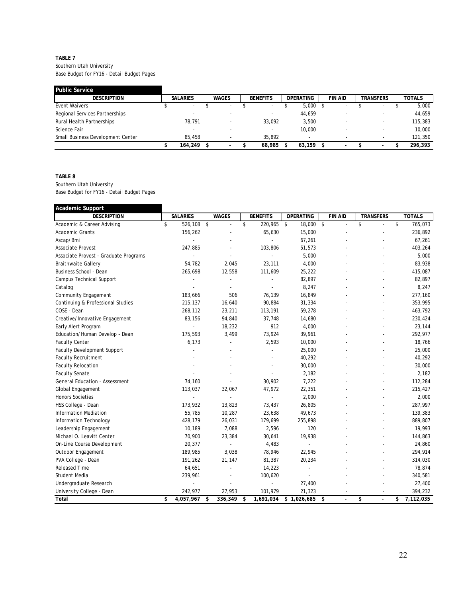#### **TABLE 7**

Southern Utah University Base Budget for FY16 - Detail Budget Pages

| Public Service                    |                          |                          |                          |                  |                          |                          |               |
|-----------------------------------|--------------------------|--------------------------|--------------------------|------------------|--------------------------|--------------------------|---------------|
| <b>DESCRIPTION</b>                | <b>SALARIES</b>          | <b>WAGES</b>             | <b>BENEFITS</b>          | <b>OPERATING</b> | FIN AID                  | TRANSFERS                | <b>TOTALS</b> |
| Event Waivers                     | $\overline{\phantom{a}}$ | $\sim$                   | $\overline{\phantom{a}}$ | 5.000            | ۰                        | $\sim$                   | 5,000         |
| Regional Services Partnerships    | $\sim$                   |                          |                          | 44,659           | -                        |                          | 44.659        |
| Rural Health Partnerships         | 78.791                   |                          | 33.092                   | 3.500            | $\overline{\phantom{a}}$ |                          | 115,383       |
| Science Fair                      |                          |                          |                          | 10,000           | -                        |                          | 10,000        |
| Small Business Development Center | 85,458                   |                          | 35,892                   |                  | -                        |                          | 121,350       |
|                                   | 164,249                  | $\overline{\phantom{a}}$ | 68,985                   | 63.159           | -                        | $\overline{\phantom{a}}$ | 296.393       |

**TABLE 8**

| Academic Support                      |                 |                                |                  |                  |                      |                  |                 |
|---------------------------------------|-----------------|--------------------------------|------------------|------------------|----------------------|------------------|-----------------|
| <b>DESCRIPTION</b>                    | <b>SALARIES</b> | <b>WAGES</b>                   | <b>BENEFITS</b>  | <b>OPERATING</b> | <b>FIN AID</b>       | <b>TRANSFERS</b> | <b>TOTALS</b>   |
| Academic & Career Advising            | \$<br>526,108   | \$<br>$\overline{\phantom{a}}$ | \$<br>220,965 \$ | 18,000           | \$<br>$\overline{a}$ | \$<br>L.         | \$<br>765,073   |
| <b>Academic Grants</b>                | 156,262         |                                | 65,630           | 15,000           |                      |                  | 236,892         |
| Ascap/Bmi                             |                 |                                | $\overline{a}$   | 67,261           |                      |                  | 67,261          |
| Associate Provost                     | 247,885         |                                | 103,806          | 51,573           |                      |                  | 403,264         |
| Associate Provost - Graduate Programs |                 | $\overline{a}$                 | L.               | 5,000            |                      |                  | 5,000           |
| <b>Braithwaite Gallery</b>            | 54,782          | 2,045                          | 23,111           | 4,000            |                      |                  | 83,938          |
| Business School - Dean                | 265,698         | 12,558                         | 111,609          | 25,222           |                      |                  | 415,087         |
| Campus Technical Support              |                 | $\overline{a}$                 |                  | 82,897           |                      |                  | 82,897          |
| Catalog                               |                 |                                |                  | 8,247            |                      |                  | 8,247           |
| <b>Community Engagement</b>           | 183,666         | 506                            | 76,139           | 16,849           |                      |                  | 277,160         |
| Continuing & Professional Studies     | 215,137         | 16,640                         | 90,884           | 31,334           |                      |                  | 353,995         |
| COSE - Dean                           | 268,112         | 23,211                         | 113,191          | 59,278           |                      |                  | 463,792         |
| Creative/Innovative Engagement        | 83,156          | 94,840                         | 37,748           | 14,680           |                      |                  | 230,424         |
| Early Alert Program                   |                 | 18,232                         | 912              | 4,000            |                      |                  | 23,144          |
| Education/Human Develop - Dean        | 175,593         | 3,499                          | 73,924           | 39,961           |                      |                  | 292,977         |
| <b>Faculty Center</b>                 | 6,173           |                                | 2,593            | 10,000           |                      |                  | 18,766          |
| <b>Faculty Development Support</b>    |                 |                                |                  | 25,000           |                      |                  | 25,000          |
| <b>Faculty Recruitment</b>            |                 |                                |                  | 40,292           |                      |                  | 40,292          |
| <b>Faculty Relocation</b>             |                 |                                |                  | 30,000           |                      |                  | 30,000          |
| <b>Faculty Senate</b>                 |                 |                                |                  | 2,182            |                      |                  | 2,182           |
| General Education - Assessment        | 74,160          |                                | 30,902           | 7,222            |                      |                  | 112,284         |
| Global Engagement                     | 113,037         | 32,067                         | 47,972           | 22,351           |                      |                  | 215,427         |
| <b>Honors Societies</b>               |                 |                                |                  | 2,000            |                      |                  | 2,000           |
| HSS College - Dean                    | 173,932         | 13,823                         | 73,437           | 26,805           |                      |                  | 287,997         |
| <b>Information Mediation</b>          | 55,785          | 10,287                         | 23,638           | 49,673           |                      |                  | 139,383         |
| Information Technology                | 428,179         | 26,031                         | 179,699          | 255,898          |                      |                  | 889,807         |
| Leadership Engagement                 | 10,189          | 7,088                          | 2,596            | 120              |                      |                  | 19,993          |
| Michael O. Leavitt Center             | 70,900          | 23,384                         | 30,641           | 19,938           |                      |                  | 144,863         |
| On-Line Course Development            | 20,377          | $\sim$                         | 4,483            |                  |                      |                  | 24,860          |
| Outdoor Engagement                    | 189,985         | 3,038                          | 78,946           | 22,945           |                      |                  | 294,914         |
| PVA College - Dean                    | 191,262         | 21,147                         | 81,387           | 20,234           |                      |                  | 314,030         |
| <b>Released Time</b>                  | 64,651          |                                | 14,223           |                  |                      |                  | 78,874          |
| Student Media                         | 239,961         |                                | 100,620          |                  |                      |                  | 340,581         |
| Undergraduate Research                |                 |                                | $\overline{a}$   | 27,400           |                      |                  | 27,400          |
| University College - Dean             | 242,977         | 27,953                         | 101,979          | 21,323           |                      |                  | 394,232         |
| Total                                 | \$<br>4,057,967 | \$<br>336,349                  | \$<br>1,691,034  | \$1,026,685      | \$<br>$\overline{a}$ | \$<br>÷,         | \$<br>7,112,035 |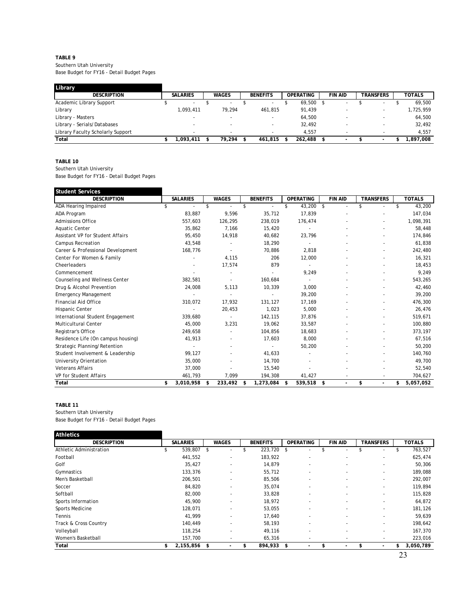#### **TABLE 9** Southern Utah University Base Budget for FY16 - Detail Budget Pages

| Library                           |                          |                          |                          |                  |                          |                          |               |
|-----------------------------------|--------------------------|--------------------------|--------------------------|------------------|--------------------------|--------------------------|---------------|
| <b>DESCRIPTION</b>                | <b>SALARIES</b>          | <b>WAGES</b>             | <b>BENEFITS</b>          | <b>OPERATING</b> | <b>FIN AID</b>           | <b>TRANSFERS</b>         | <b>TOTALS</b> |
| Academic Library Support          | $\overline{\phantom{a}}$ | $\overline{\phantom{a}}$ | $\overline{\phantom{a}}$ | 69,500           |                          | $\overline{\phantom{0}}$ | 69,500        |
| Library                           | 1,093,411                | 79.294                   | 461.815                  | 91,439           |                          |                          | 1,725,959     |
| Library - Masters                 | $\overline{\phantom{0}}$ |                          |                          | 64,500           | -                        |                          | 64,500        |
| Library - Serials/Databases       | $\overline{\phantom{0}}$ |                          |                          | 32,492           | -                        |                          | 32,492        |
| Library Faculty Scholarly Support | $\overline{\phantom{a}}$ | $\overline{\phantom{a}}$ |                          | 4.557            | <b>.</b>                 |                          | 4.557         |
| Total                             | .093.411                 | 79.294                   | 461.815 \$               | 262,488          | $\overline{\phantom{a}}$ |                          | .897.008      |

#### **TABLE 10**

Southern Utah University

Base Budget for FY16 - Detail Budget Pages

| <b>Student Services</b>            |                      |               |                 |     |                  |                                |                  |                 |
|------------------------------------|----------------------|---------------|-----------------|-----|------------------|--------------------------------|------------------|-----------------|
| <b>DESCRIPTION</b>                 | <b>SALARIES</b>      | <b>WAGES</b>  | <b>BENEFITS</b> |     | <b>OPERATING</b> | <b>FIN AID</b>                 | <b>TRANSFERS</b> | <b>TOTALS</b>   |
| ADA Hearing Impaired               | \$<br>$\blacksquare$ | \$<br>$\sim$  | \$<br>۰         | \$  | 43,200           | \$<br>$\overline{\phantom{a}}$ | \$               | \$<br>43,200    |
| ADA Program                        | 83.887               | 9,596         | 35.712          |     | 17.839           |                                |                  | 147,034         |
| <b>Admissions Office</b>           | 557,603              | 126,295       | 238,019         |     | 176,474          |                                |                  | 1,098,391       |
| <b>Aquatic Center</b>              | 35,862               | 7.166         | 15,420          |     |                  |                                |                  | 58,448          |
| Assistant VP for Student Affairs   | 95,450               | 14,918        | 40,682          |     | 23,796           |                                |                  | 174,846         |
| <b>Campus Recreation</b>           | 43,548               |               | 18,290          |     |                  |                                |                  | 61,838          |
| Career & Professional Development  | 168,776              |               | 70,886          |     | 2,818            |                                |                  | 242,480         |
| Center For Women & Family          |                      | 4,115         | 206             |     | 12,000           |                                |                  | 16,321          |
| Cheerleaders                       |                      | 17,574        | 879             |     |                  |                                |                  | 18,453          |
| Commencement                       |                      |               |                 |     | 9,249            |                                |                  | 9,249           |
| Counseling and Wellness Center     | 382,581              |               | 160.684         |     |                  |                                |                  | 543,265         |
| Drug & Alcohol Prevention          | 24,008               | 5,113         | 10,339          |     | 3,000            |                                |                  | 42,460          |
| <b>Emergency Management</b>        |                      |               |                 |     | 39,200           |                                |                  | 39,200          |
| <b>Financial Aid Office</b>        | 310,072              | 17,932        | 131,127         |     | 17,169           |                                |                  | 476,300         |
| Hispanic Center                    |                      | 20,453        | 1,023           |     | 5.000            |                                |                  | 26,476          |
| International Student Engagement   | 339,680              |               | 142,115         |     | 37,876           |                                |                  | 519,671         |
| Multicultural Center               | 45,000               | 3,231         | 19,062          |     | 33,587           |                                |                  | 100,880         |
| Registrar's Office                 | 249,658              |               | 104,856         |     | 18,683           |                                |                  | 373,197         |
| Residence Life (On campus housing) | 41,913               |               | 17,603          |     | 8.000            |                                |                  | 67,516          |
| Strategic Planning/Retention       |                      |               |                 |     | 50,200           |                                |                  | 50.200          |
| Student Involvement & Leadership   | 99,127               |               | 41,633          |     |                  |                                |                  | 140,760         |
| University Orientation             | 35,000               |               | 14,700          |     |                  |                                |                  | 49,700          |
| <b>Veterans Affairs</b>            | 37,000               |               | 15,540          |     |                  |                                |                  | 52,540          |
| VP for Student Affairs             | 461,793              | 7,099         | 194,308         |     | 41,427           |                                |                  | 704,627         |
| Total                              | \$<br>3,010,958      | \$<br>233,492 | \$<br>1,273,084 | -\$ | 539,518          | \$<br>$\overline{\phantom{0}}$ | \$               | \$<br>5,057,052 |

## **TABLE 11**

| <b>Athletics</b>        |                 |              |                 |                          |                          |                                |                 |
|-------------------------|-----------------|--------------|-----------------|--------------------------|--------------------------|--------------------------------|-----------------|
| <b>DESCRIPTION</b>      | <b>SALARIES</b> | <b>WAGES</b> | <b>BENEFITS</b> | <b>OPERATING</b>         | <b>FIN AID</b>           | <b>TRANSFERS</b>               | <b>TOTALS</b>   |
| Athletic Administration | 539,807         | \$           | 223,720         | \$                       |                          |                                | 763,527         |
| Football                | 441,552         |              | 183,922         | ٠                        | ٠                        |                                | 625,474         |
| Golf                    | 35,427          |              | 14,879          | ٠                        | $\overline{\phantom{a}}$ |                                | 50,306          |
| Gymnastics              | 133,376         | ٠            | 55,712          | $\overline{\phantom{a}}$ | $\overline{\phantom{a}}$ | $\overline{\phantom{a}}$       | 189,088         |
| Men's Basketball        | 206,501         |              | 85,506          | ٠                        | $\overline{\phantom{a}}$ | $\overline{\phantom{a}}$       | 292,007         |
| Soccer                  | 84,820          |              | 35,074          | ٠                        | ٠                        | ٠                              | 119,894         |
| Softball                | 82,000          |              | 33,828          | ٠                        | ٠                        |                                | 115,828         |
| Sports Information      | 45,900          | ۰            | 18,972          | $\overline{\phantom{a}}$ | $\overline{\phantom{a}}$ | $\overline{\phantom{a}}$       | 64,872          |
| Sports Medicine         | 128,071         |              | 53,055          | ٠                        | ٠                        | ٠                              | 181,126         |
| Tennis                  | 41,999          |              | 17,640          | $\overline{\phantom{a}}$ | ٠                        | $\overline{\phantom{a}}$       | 59,639          |
| Track & Cross Country   | 140,449         |              | 58,193          | ٠                        | $\overline{\phantom{a}}$ | $\overline{\phantom{a}}$       | 198,642         |
| Volleyball              | 118,254         | ٠            | 49,116          | $\overline{\phantom{a}}$ | $\overline{\phantom{a}}$ | $\overline{\phantom{a}}$       | 167,370         |
| Women's Basketball      | 157,700         |              | 65,316          | $\overline{\phantom{a}}$ | $\overline{\phantom{a}}$ |                                | 223,016         |
| Total                   | 2,155,856<br>\$ | \$           | 894,933<br>\$   | -\$                      |                          | \$<br>$\overline{\phantom{0}}$ | 3,050,789<br>\$ |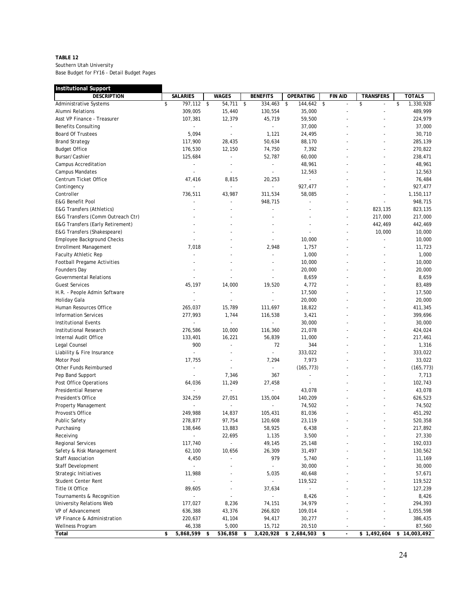### **TABLE 12**

| <b>DESCRIPTION</b><br><b>SALARIES</b><br><b>WAGES</b><br><b>OPERATING</b><br><b>FIN AID</b><br><b>TRANSFERS</b><br>\$<br>797,112 \$<br>54,711<br>$\sqrt{2}$<br>334,463<br>144,642 \$<br>\$<br>\$<br>1,330,928<br><b>Administrative Systems</b><br>\$<br>309,005<br>15,440<br>130,554<br>35,000<br>489,999<br>Alumni Relations<br>$\sim$<br>$\overline{\phantom{a}}$<br>12,379<br>45,719<br>59,500<br>Asst VP Finance - Treasurer<br>107,381<br>224,979<br>37,000<br>37,000<br><b>Benefits Consulting</b><br>$\overline{\phantom{a}}$<br>$\overline{\phantom{a}}$<br><b>Board Of Trustees</b><br>5,094<br>1,121<br>24,495<br>30,710<br>$\overline{\phantom{a}}$<br>50,634<br>285,139<br><b>Brand Strategy</b><br>117,900<br>28,435<br>88,170<br><b>Budget Office</b><br>176,530<br>12,150<br>74,750<br>7,392<br>270,822<br>Bursar/Cashier<br>125,684<br>52,787<br>60,000<br>238,471<br>$\overline{\phantom{a}}$<br>48,961<br>48,961<br>Campus Accreditation<br>$\overline{\phantom{a}}$<br>L.<br>12,563<br>12,563<br>Campus Mandates<br>÷,<br>Centrum Ticket Office<br>47,416<br>8,815<br>20,253<br>76,484<br>$\blacksquare$<br>Contingency<br>927,477<br>927,477<br>Controller<br>736,511<br>43,987<br>311,534<br>58,085<br>1,150,117<br><b>E&amp;G Benefit Pool</b><br>948,715<br>948,715<br>÷,<br>$\overline{\phantom{a}}$<br>823,135<br><b>E&amp;G Transfers (Athletics)</b><br>823,135<br>E&G Transfers (Comm Outreach Ctr)<br>217,000<br>217,000<br>E&G Transfers (Early Retirement)<br>442,469<br>442,469<br>E&G Transfers (Shakespeare)<br>10,000<br>10,000<br>Employee Background Checks<br>10,000<br>10,000<br>7,018<br>2,948<br>1,757<br>11,723<br><b>Enrollment Management</b><br><b>Faculty Athletic Rep</b><br>1,000<br>1,000<br>10,000<br>10,000<br><b>Football Pregame Activities</b><br>20,000<br>20,000<br>Founders Day<br><b>Governmental Relations</b><br>8,659<br>8,659<br>45,197<br>14,000<br>19,520<br>4,772<br><b>Guest Services</b><br>83,489<br>17,500<br>17,500<br>H.R. - People Admin Software<br>$\overline{a}$<br>÷,<br>$\overline{\phantom{a}}$<br>20,000<br>20,000<br>Holiday Gala<br>$\overline{a}$<br>Human Resources Office<br>265,037<br>15,789<br>111,697<br>18,822<br>411,345<br><b>Information Services</b><br>277,993<br>1,744<br>116,538<br>3,421<br>399,696<br><b>Institutional Events</b><br>30,000<br>30,000<br>$\overline{a}$<br>L.<br>276,586<br>10,000<br>116,360<br>21,078<br>424,024<br>Institutional Research<br>Internal Audit Office<br>133,401<br>16,221<br>56,839<br>11,000<br>217,461<br>900<br>72<br>344<br>1,316<br>Legal Counsel<br>$\overline{a}$<br>333,022<br>333,022<br>Liability & Fire Insurance<br>$\overline{a}$<br>$\overline{\phantom{a}}$<br>7,973<br>Motor Pool<br>17,755<br>7,294<br>33,022<br>Ĭ.<br>Other Funds Reimbursed<br>(165, 773)<br>(165, 773)<br>$\overline{\phantom{a}}$<br>٠<br>÷,<br>7,346<br>367<br>7,713<br>Pep Band Support<br>$\overline{\phantom{a}}$<br>11,249<br>27,458<br>102,743<br>Post Office Operations<br>64,036<br>$\overline{\phantom{a}}$<br>43,078<br>Presidential Reserve<br>43,078<br>626,523<br>President's Office<br>324,259<br>27,051<br>135,004<br>140,209<br>74,502<br>74,502<br>Property Management<br>$\overline{\phantom{a}}$<br>$\overline{a}$<br>Provost's Office<br>14,837<br>105,431<br>451,292<br>249,988<br>81,036<br>97,754<br>23,119<br>520,358<br>Public Safety<br>278,877<br>120,608<br>13,883<br>58,925<br>6,438<br>217,892<br>Purchasing<br>138,646<br>Receiving<br>22,695<br>1,135<br>3,500<br>27,330<br><b>Regional Services</b><br>117,740<br>49,145<br>25,148<br>192,033<br>$\overline{\phantom{a}}$<br>26,309<br>31,497<br>130,562<br>Safety & Risk Management<br>62,100<br>10,656<br>979<br><b>Staff Association</b><br>4,450<br>5,740<br>11,169<br>Staff Development<br>30,000<br>30,000<br>$\overline{a}$<br>11,988<br>5,035<br>40,648<br>57,671<br>Strategic Initiatives<br>Student Center Rent<br>119,522<br>119,522<br>Title IX Office<br>89,605<br>127,239<br>37,634<br>8,426<br>8,426<br>Tournaments & Recognition<br>$\overline{\phantom{a}}$<br>÷,<br>177,027<br>8,236<br>34,979<br>294,393<br>University Relations Web<br>74,151<br>VP of Advancement<br>43,376<br>636,388<br>266,820<br>109,014<br>1,055,598<br>VP Finance & Administration<br>220,637<br>41,104<br>30,277<br>386,435<br>94,417<br>5,000<br>87,560<br>Wellness Program<br>46,338<br>15,712<br>20,510<br>Total<br>5,868,599 \$<br>536,858<br>3,420,928<br>$$2,684,503$ \$<br>\$1,492,604<br>\$14,003,492<br>\$<br>-\$<br>$\overline{\phantom{a}}$ | <b>Institutional Support</b> |  |                 |  |               |
|-------------------------------------------------------------------------------------------------------------------------------------------------------------------------------------------------------------------------------------------------------------------------------------------------------------------------------------------------------------------------------------------------------------------------------------------------------------------------------------------------------------------------------------------------------------------------------------------------------------------------------------------------------------------------------------------------------------------------------------------------------------------------------------------------------------------------------------------------------------------------------------------------------------------------------------------------------------------------------------------------------------------------------------------------------------------------------------------------------------------------------------------------------------------------------------------------------------------------------------------------------------------------------------------------------------------------------------------------------------------------------------------------------------------------------------------------------------------------------------------------------------------------------------------------------------------------------------------------------------------------------------------------------------------------------------------------------------------------------------------------------------------------------------------------------------------------------------------------------------------------------------------------------------------------------------------------------------------------------------------------------------------------------------------------------------------------------------------------------------------------------------------------------------------------------------------------------------------------------------------------------------------------------------------------------------------------------------------------------------------------------------------------------------------------------------------------------------------------------------------------------------------------------------------------------------------------------------------------------------------------------------------------------------------------------------------------------------------------------------------------------------------------------------------------------------------------------------------------------------------------------------------------------------------------------------------------------------------------------------------------------------------------------------------------------------------------------------------------------------------------------------------------------------------------------------------------------------------------------------------------------------------------------------------------------------------------------------------------------------------------------------------------------------------------------------------------------------------------------------------------------------------------------------------------------------------------------------------------------------------------------------------------------------------------------------------------------------------------------------------------------------------------------------------------------------------------------------------------------------------------------------------------------------------------------------------------------------------------------------------------------------------------------------------------------------------------------------------------------------------------------------------------------------------------------------------------------------------------------------------------------------------------------------------------------------------------------------------------------------------------------------------------------------------------------------------------------------------------------------------------------------------------------------------------------------|------------------------------|--|-----------------|--|---------------|
|                                                                                                                                                                                                                                                                                                                                                                                                                                                                                                                                                                                                                                                                                                                                                                                                                                                                                                                                                                                                                                                                                                                                                                                                                                                                                                                                                                                                                                                                                                                                                                                                                                                                                                                                                                                                                                                                                                                                                                                                                                                                                                                                                                                                                                                                                                                                                                                                                                                                                                                                                                                                                                                                                                                                                                                                                                                                                                                                                                                                                                                                                                                                                                                                                                                                                                                                                                                                                                                                                                                                                                                                                                                                                                                                                                                                                                                                                                                                                                                                                                                                                                                                                                                                                                                                                                                                                                                                                                                                                                                                                             |                              |  | <b>BENEFITS</b> |  | <b>TOTALS</b> |
|                                                                                                                                                                                                                                                                                                                                                                                                                                                                                                                                                                                                                                                                                                                                                                                                                                                                                                                                                                                                                                                                                                                                                                                                                                                                                                                                                                                                                                                                                                                                                                                                                                                                                                                                                                                                                                                                                                                                                                                                                                                                                                                                                                                                                                                                                                                                                                                                                                                                                                                                                                                                                                                                                                                                                                                                                                                                                                                                                                                                                                                                                                                                                                                                                                                                                                                                                                                                                                                                                                                                                                                                                                                                                                                                                                                                                                                                                                                                                                                                                                                                                                                                                                                                                                                                                                                                                                                                                                                                                                                                                             |                              |  |                 |  |               |
|                                                                                                                                                                                                                                                                                                                                                                                                                                                                                                                                                                                                                                                                                                                                                                                                                                                                                                                                                                                                                                                                                                                                                                                                                                                                                                                                                                                                                                                                                                                                                                                                                                                                                                                                                                                                                                                                                                                                                                                                                                                                                                                                                                                                                                                                                                                                                                                                                                                                                                                                                                                                                                                                                                                                                                                                                                                                                                                                                                                                                                                                                                                                                                                                                                                                                                                                                                                                                                                                                                                                                                                                                                                                                                                                                                                                                                                                                                                                                                                                                                                                                                                                                                                                                                                                                                                                                                                                                                                                                                                                                             |                              |  |                 |  |               |
|                                                                                                                                                                                                                                                                                                                                                                                                                                                                                                                                                                                                                                                                                                                                                                                                                                                                                                                                                                                                                                                                                                                                                                                                                                                                                                                                                                                                                                                                                                                                                                                                                                                                                                                                                                                                                                                                                                                                                                                                                                                                                                                                                                                                                                                                                                                                                                                                                                                                                                                                                                                                                                                                                                                                                                                                                                                                                                                                                                                                                                                                                                                                                                                                                                                                                                                                                                                                                                                                                                                                                                                                                                                                                                                                                                                                                                                                                                                                                                                                                                                                                                                                                                                                                                                                                                                                                                                                                                                                                                                                                             |                              |  |                 |  |               |
|                                                                                                                                                                                                                                                                                                                                                                                                                                                                                                                                                                                                                                                                                                                                                                                                                                                                                                                                                                                                                                                                                                                                                                                                                                                                                                                                                                                                                                                                                                                                                                                                                                                                                                                                                                                                                                                                                                                                                                                                                                                                                                                                                                                                                                                                                                                                                                                                                                                                                                                                                                                                                                                                                                                                                                                                                                                                                                                                                                                                                                                                                                                                                                                                                                                                                                                                                                                                                                                                                                                                                                                                                                                                                                                                                                                                                                                                                                                                                                                                                                                                                                                                                                                                                                                                                                                                                                                                                                                                                                                                                             |                              |  |                 |  |               |
|                                                                                                                                                                                                                                                                                                                                                                                                                                                                                                                                                                                                                                                                                                                                                                                                                                                                                                                                                                                                                                                                                                                                                                                                                                                                                                                                                                                                                                                                                                                                                                                                                                                                                                                                                                                                                                                                                                                                                                                                                                                                                                                                                                                                                                                                                                                                                                                                                                                                                                                                                                                                                                                                                                                                                                                                                                                                                                                                                                                                                                                                                                                                                                                                                                                                                                                                                                                                                                                                                                                                                                                                                                                                                                                                                                                                                                                                                                                                                                                                                                                                                                                                                                                                                                                                                                                                                                                                                                                                                                                                                             |                              |  |                 |  |               |
|                                                                                                                                                                                                                                                                                                                                                                                                                                                                                                                                                                                                                                                                                                                                                                                                                                                                                                                                                                                                                                                                                                                                                                                                                                                                                                                                                                                                                                                                                                                                                                                                                                                                                                                                                                                                                                                                                                                                                                                                                                                                                                                                                                                                                                                                                                                                                                                                                                                                                                                                                                                                                                                                                                                                                                                                                                                                                                                                                                                                                                                                                                                                                                                                                                                                                                                                                                                                                                                                                                                                                                                                                                                                                                                                                                                                                                                                                                                                                                                                                                                                                                                                                                                                                                                                                                                                                                                                                                                                                                                                                             |                              |  |                 |  |               |
|                                                                                                                                                                                                                                                                                                                                                                                                                                                                                                                                                                                                                                                                                                                                                                                                                                                                                                                                                                                                                                                                                                                                                                                                                                                                                                                                                                                                                                                                                                                                                                                                                                                                                                                                                                                                                                                                                                                                                                                                                                                                                                                                                                                                                                                                                                                                                                                                                                                                                                                                                                                                                                                                                                                                                                                                                                                                                                                                                                                                                                                                                                                                                                                                                                                                                                                                                                                                                                                                                                                                                                                                                                                                                                                                                                                                                                                                                                                                                                                                                                                                                                                                                                                                                                                                                                                                                                                                                                                                                                                                                             |                              |  |                 |  |               |
|                                                                                                                                                                                                                                                                                                                                                                                                                                                                                                                                                                                                                                                                                                                                                                                                                                                                                                                                                                                                                                                                                                                                                                                                                                                                                                                                                                                                                                                                                                                                                                                                                                                                                                                                                                                                                                                                                                                                                                                                                                                                                                                                                                                                                                                                                                                                                                                                                                                                                                                                                                                                                                                                                                                                                                                                                                                                                                                                                                                                                                                                                                                                                                                                                                                                                                                                                                                                                                                                                                                                                                                                                                                                                                                                                                                                                                                                                                                                                                                                                                                                                                                                                                                                                                                                                                                                                                                                                                                                                                                                                             |                              |  |                 |  |               |
|                                                                                                                                                                                                                                                                                                                                                                                                                                                                                                                                                                                                                                                                                                                                                                                                                                                                                                                                                                                                                                                                                                                                                                                                                                                                                                                                                                                                                                                                                                                                                                                                                                                                                                                                                                                                                                                                                                                                                                                                                                                                                                                                                                                                                                                                                                                                                                                                                                                                                                                                                                                                                                                                                                                                                                                                                                                                                                                                                                                                                                                                                                                                                                                                                                                                                                                                                                                                                                                                                                                                                                                                                                                                                                                                                                                                                                                                                                                                                                                                                                                                                                                                                                                                                                                                                                                                                                                                                                                                                                                                                             |                              |  |                 |  |               |
|                                                                                                                                                                                                                                                                                                                                                                                                                                                                                                                                                                                                                                                                                                                                                                                                                                                                                                                                                                                                                                                                                                                                                                                                                                                                                                                                                                                                                                                                                                                                                                                                                                                                                                                                                                                                                                                                                                                                                                                                                                                                                                                                                                                                                                                                                                                                                                                                                                                                                                                                                                                                                                                                                                                                                                                                                                                                                                                                                                                                                                                                                                                                                                                                                                                                                                                                                                                                                                                                                                                                                                                                                                                                                                                                                                                                                                                                                                                                                                                                                                                                                                                                                                                                                                                                                                                                                                                                                                                                                                                                                             |                              |  |                 |  |               |
|                                                                                                                                                                                                                                                                                                                                                                                                                                                                                                                                                                                                                                                                                                                                                                                                                                                                                                                                                                                                                                                                                                                                                                                                                                                                                                                                                                                                                                                                                                                                                                                                                                                                                                                                                                                                                                                                                                                                                                                                                                                                                                                                                                                                                                                                                                                                                                                                                                                                                                                                                                                                                                                                                                                                                                                                                                                                                                                                                                                                                                                                                                                                                                                                                                                                                                                                                                                                                                                                                                                                                                                                                                                                                                                                                                                                                                                                                                                                                                                                                                                                                                                                                                                                                                                                                                                                                                                                                                                                                                                                                             |                              |  |                 |  |               |
|                                                                                                                                                                                                                                                                                                                                                                                                                                                                                                                                                                                                                                                                                                                                                                                                                                                                                                                                                                                                                                                                                                                                                                                                                                                                                                                                                                                                                                                                                                                                                                                                                                                                                                                                                                                                                                                                                                                                                                                                                                                                                                                                                                                                                                                                                                                                                                                                                                                                                                                                                                                                                                                                                                                                                                                                                                                                                                                                                                                                                                                                                                                                                                                                                                                                                                                                                                                                                                                                                                                                                                                                                                                                                                                                                                                                                                                                                                                                                                                                                                                                                                                                                                                                                                                                                                                                                                                                                                                                                                                                                             |                              |  |                 |  |               |
|                                                                                                                                                                                                                                                                                                                                                                                                                                                                                                                                                                                                                                                                                                                                                                                                                                                                                                                                                                                                                                                                                                                                                                                                                                                                                                                                                                                                                                                                                                                                                                                                                                                                                                                                                                                                                                                                                                                                                                                                                                                                                                                                                                                                                                                                                                                                                                                                                                                                                                                                                                                                                                                                                                                                                                                                                                                                                                                                                                                                                                                                                                                                                                                                                                                                                                                                                                                                                                                                                                                                                                                                                                                                                                                                                                                                                                                                                                                                                                                                                                                                                                                                                                                                                                                                                                                                                                                                                                                                                                                                                             |                              |  |                 |  |               |
|                                                                                                                                                                                                                                                                                                                                                                                                                                                                                                                                                                                                                                                                                                                                                                                                                                                                                                                                                                                                                                                                                                                                                                                                                                                                                                                                                                                                                                                                                                                                                                                                                                                                                                                                                                                                                                                                                                                                                                                                                                                                                                                                                                                                                                                                                                                                                                                                                                                                                                                                                                                                                                                                                                                                                                                                                                                                                                                                                                                                                                                                                                                                                                                                                                                                                                                                                                                                                                                                                                                                                                                                                                                                                                                                                                                                                                                                                                                                                                                                                                                                                                                                                                                                                                                                                                                                                                                                                                                                                                                                                             |                              |  |                 |  |               |
|                                                                                                                                                                                                                                                                                                                                                                                                                                                                                                                                                                                                                                                                                                                                                                                                                                                                                                                                                                                                                                                                                                                                                                                                                                                                                                                                                                                                                                                                                                                                                                                                                                                                                                                                                                                                                                                                                                                                                                                                                                                                                                                                                                                                                                                                                                                                                                                                                                                                                                                                                                                                                                                                                                                                                                                                                                                                                                                                                                                                                                                                                                                                                                                                                                                                                                                                                                                                                                                                                                                                                                                                                                                                                                                                                                                                                                                                                                                                                                                                                                                                                                                                                                                                                                                                                                                                                                                                                                                                                                                                                             |                              |  |                 |  |               |
|                                                                                                                                                                                                                                                                                                                                                                                                                                                                                                                                                                                                                                                                                                                                                                                                                                                                                                                                                                                                                                                                                                                                                                                                                                                                                                                                                                                                                                                                                                                                                                                                                                                                                                                                                                                                                                                                                                                                                                                                                                                                                                                                                                                                                                                                                                                                                                                                                                                                                                                                                                                                                                                                                                                                                                                                                                                                                                                                                                                                                                                                                                                                                                                                                                                                                                                                                                                                                                                                                                                                                                                                                                                                                                                                                                                                                                                                                                                                                                                                                                                                                                                                                                                                                                                                                                                                                                                                                                                                                                                                                             |                              |  |                 |  |               |
|                                                                                                                                                                                                                                                                                                                                                                                                                                                                                                                                                                                                                                                                                                                                                                                                                                                                                                                                                                                                                                                                                                                                                                                                                                                                                                                                                                                                                                                                                                                                                                                                                                                                                                                                                                                                                                                                                                                                                                                                                                                                                                                                                                                                                                                                                                                                                                                                                                                                                                                                                                                                                                                                                                                                                                                                                                                                                                                                                                                                                                                                                                                                                                                                                                                                                                                                                                                                                                                                                                                                                                                                                                                                                                                                                                                                                                                                                                                                                                                                                                                                                                                                                                                                                                                                                                                                                                                                                                                                                                                                                             |                              |  |                 |  |               |
|                                                                                                                                                                                                                                                                                                                                                                                                                                                                                                                                                                                                                                                                                                                                                                                                                                                                                                                                                                                                                                                                                                                                                                                                                                                                                                                                                                                                                                                                                                                                                                                                                                                                                                                                                                                                                                                                                                                                                                                                                                                                                                                                                                                                                                                                                                                                                                                                                                                                                                                                                                                                                                                                                                                                                                                                                                                                                                                                                                                                                                                                                                                                                                                                                                                                                                                                                                                                                                                                                                                                                                                                                                                                                                                                                                                                                                                                                                                                                                                                                                                                                                                                                                                                                                                                                                                                                                                                                                                                                                                                                             |                              |  |                 |  |               |
|                                                                                                                                                                                                                                                                                                                                                                                                                                                                                                                                                                                                                                                                                                                                                                                                                                                                                                                                                                                                                                                                                                                                                                                                                                                                                                                                                                                                                                                                                                                                                                                                                                                                                                                                                                                                                                                                                                                                                                                                                                                                                                                                                                                                                                                                                                                                                                                                                                                                                                                                                                                                                                                                                                                                                                                                                                                                                                                                                                                                                                                                                                                                                                                                                                                                                                                                                                                                                                                                                                                                                                                                                                                                                                                                                                                                                                                                                                                                                                                                                                                                                                                                                                                                                                                                                                                                                                                                                                                                                                                                                             |                              |  |                 |  |               |
|                                                                                                                                                                                                                                                                                                                                                                                                                                                                                                                                                                                                                                                                                                                                                                                                                                                                                                                                                                                                                                                                                                                                                                                                                                                                                                                                                                                                                                                                                                                                                                                                                                                                                                                                                                                                                                                                                                                                                                                                                                                                                                                                                                                                                                                                                                                                                                                                                                                                                                                                                                                                                                                                                                                                                                                                                                                                                                                                                                                                                                                                                                                                                                                                                                                                                                                                                                                                                                                                                                                                                                                                                                                                                                                                                                                                                                                                                                                                                                                                                                                                                                                                                                                                                                                                                                                                                                                                                                                                                                                                                             |                              |  |                 |  |               |
|                                                                                                                                                                                                                                                                                                                                                                                                                                                                                                                                                                                                                                                                                                                                                                                                                                                                                                                                                                                                                                                                                                                                                                                                                                                                                                                                                                                                                                                                                                                                                                                                                                                                                                                                                                                                                                                                                                                                                                                                                                                                                                                                                                                                                                                                                                                                                                                                                                                                                                                                                                                                                                                                                                                                                                                                                                                                                                                                                                                                                                                                                                                                                                                                                                                                                                                                                                                                                                                                                                                                                                                                                                                                                                                                                                                                                                                                                                                                                                                                                                                                                                                                                                                                                                                                                                                                                                                                                                                                                                                                                             |                              |  |                 |  |               |
|                                                                                                                                                                                                                                                                                                                                                                                                                                                                                                                                                                                                                                                                                                                                                                                                                                                                                                                                                                                                                                                                                                                                                                                                                                                                                                                                                                                                                                                                                                                                                                                                                                                                                                                                                                                                                                                                                                                                                                                                                                                                                                                                                                                                                                                                                                                                                                                                                                                                                                                                                                                                                                                                                                                                                                                                                                                                                                                                                                                                                                                                                                                                                                                                                                                                                                                                                                                                                                                                                                                                                                                                                                                                                                                                                                                                                                                                                                                                                                                                                                                                                                                                                                                                                                                                                                                                                                                                                                                                                                                                                             |                              |  |                 |  |               |
|                                                                                                                                                                                                                                                                                                                                                                                                                                                                                                                                                                                                                                                                                                                                                                                                                                                                                                                                                                                                                                                                                                                                                                                                                                                                                                                                                                                                                                                                                                                                                                                                                                                                                                                                                                                                                                                                                                                                                                                                                                                                                                                                                                                                                                                                                                                                                                                                                                                                                                                                                                                                                                                                                                                                                                                                                                                                                                                                                                                                                                                                                                                                                                                                                                                                                                                                                                                                                                                                                                                                                                                                                                                                                                                                                                                                                                                                                                                                                                                                                                                                                                                                                                                                                                                                                                                                                                                                                                                                                                                                                             |                              |  |                 |  |               |
|                                                                                                                                                                                                                                                                                                                                                                                                                                                                                                                                                                                                                                                                                                                                                                                                                                                                                                                                                                                                                                                                                                                                                                                                                                                                                                                                                                                                                                                                                                                                                                                                                                                                                                                                                                                                                                                                                                                                                                                                                                                                                                                                                                                                                                                                                                                                                                                                                                                                                                                                                                                                                                                                                                                                                                                                                                                                                                                                                                                                                                                                                                                                                                                                                                                                                                                                                                                                                                                                                                                                                                                                                                                                                                                                                                                                                                                                                                                                                                                                                                                                                                                                                                                                                                                                                                                                                                                                                                                                                                                                                             |                              |  |                 |  |               |
|                                                                                                                                                                                                                                                                                                                                                                                                                                                                                                                                                                                                                                                                                                                                                                                                                                                                                                                                                                                                                                                                                                                                                                                                                                                                                                                                                                                                                                                                                                                                                                                                                                                                                                                                                                                                                                                                                                                                                                                                                                                                                                                                                                                                                                                                                                                                                                                                                                                                                                                                                                                                                                                                                                                                                                                                                                                                                                                                                                                                                                                                                                                                                                                                                                                                                                                                                                                                                                                                                                                                                                                                                                                                                                                                                                                                                                                                                                                                                                                                                                                                                                                                                                                                                                                                                                                                                                                                                                                                                                                                                             |                              |  |                 |  |               |
|                                                                                                                                                                                                                                                                                                                                                                                                                                                                                                                                                                                                                                                                                                                                                                                                                                                                                                                                                                                                                                                                                                                                                                                                                                                                                                                                                                                                                                                                                                                                                                                                                                                                                                                                                                                                                                                                                                                                                                                                                                                                                                                                                                                                                                                                                                                                                                                                                                                                                                                                                                                                                                                                                                                                                                                                                                                                                                                                                                                                                                                                                                                                                                                                                                                                                                                                                                                                                                                                                                                                                                                                                                                                                                                                                                                                                                                                                                                                                                                                                                                                                                                                                                                                                                                                                                                                                                                                                                                                                                                                                             |                              |  |                 |  |               |
|                                                                                                                                                                                                                                                                                                                                                                                                                                                                                                                                                                                                                                                                                                                                                                                                                                                                                                                                                                                                                                                                                                                                                                                                                                                                                                                                                                                                                                                                                                                                                                                                                                                                                                                                                                                                                                                                                                                                                                                                                                                                                                                                                                                                                                                                                                                                                                                                                                                                                                                                                                                                                                                                                                                                                                                                                                                                                                                                                                                                                                                                                                                                                                                                                                                                                                                                                                                                                                                                                                                                                                                                                                                                                                                                                                                                                                                                                                                                                                                                                                                                                                                                                                                                                                                                                                                                                                                                                                                                                                                                                             |                              |  |                 |  |               |
|                                                                                                                                                                                                                                                                                                                                                                                                                                                                                                                                                                                                                                                                                                                                                                                                                                                                                                                                                                                                                                                                                                                                                                                                                                                                                                                                                                                                                                                                                                                                                                                                                                                                                                                                                                                                                                                                                                                                                                                                                                                                                                                                                                                                                                                                                                                                                                                                                                                                                                                                                                                                                                                                                                                                                                                                                                                                                                                                                                                                                                                                                                                                                                                                                                                                                                                                                                                                                                                                                                                                                                                                                                                                                                                                                                                                                                                                                                                                                                                                                                                                                                                                                                                                                                                                                                                                                                                                                                                                                                                                                             |                              |  |                 |  |               |
|                                                                                                                                                                                                                                                                                                                                                                                                                                                                                                                                                                                                                                                                                                                                                                                                                                                                                                                                                                                                                                                                                                                                                                                                                                                                                                                                                                                                                                                                                                                                                                                                                                                                                                                                                                                                                                                                                                                                                                                                                                                                                                                                                                                                                                                                                                                                                                                                                                                                                                                                                                                                                                                                                                                                                                                                                                                                                                                                                                                                                                                                                                                                                                                                                                                                                                                                                                                                                                                                                                                                                                                                                                                                                                                                                                                                                                                                                                                                                                                                                                                                                                                                                                                                                                                                                                                                                                                                                                                                                                                                                             |                              |  |                 |  |               |
|                                                                                                                                                                                                                                                                                                                                                                                                                                                                                                                                                                                                                                                                                                                                                                                                                                                                                                                                                                                                                                                                                                                                                                                                                                                                                                                                                                                                                                                                                                                                                                                                                                                                                                                                                                                                                                                                                                                                                                                                                                                                                                                                                                                                                                                                                                                                                                                                                                                                                                                                                                                                                                                                                                                                                                                                                                                                                                                                                                                                                                                                                                                                                                                                                                                                                                                                                                                                                                                                                                                                                                                                                                                                                                                                                                                                                                                                                                                                                                                                                                                                                                                                                                                                                                                                                                                                                                                                                                                                                                                                                             |                              |  |                 |  |               |
|                                                                                                                                                                                                                                                                                                                                                                                                                                                                                                                                                                                                                                                                                                                                                                                                                                                                                                                                                                                                                                                                                                                                                                                                                                                                                                                                                                                                                                                                                                                                                                                                                                                                                                                                                                                                                                                                                                                                                                                                                                                                                                                                                                                                                                                                                                                                                                                                                                                                                                                                                                                                                                                                                                                                                                                                                                                                                                                                                                                                                                                                                                                                                                                                                                                                                                                                                                                                                                                                                                                                                                                                                                                                                                                                                                                                                                                                                                                                                                                                                                                                                                                                                                                                                                                                                                                                                                                                                                                                                                                                                             |                              |  |                 |  |               |
|                                                                                                                                                                                                                                                                                                                                                                                                                                                                                                                                                                                                                                                                                                                                                                                                                                                                                                                                                                                                                                                                                                                                                                                                                                                                                                                                                                                                                                                                                                                                                                                                                                                                                                                                                                                                                                                                                                                                                                                                                                                                                                                                                                                                                                                                                                                                                                                                                                                                                                                                                                                                                                                                                                                                                                                                                                                                                                                                                                                                                                                                                                                                                                                                                                                                                                                                                                                                                                                                                                                                                                                                                                                                                                                                                                                                                                                                                                                                                                                                                                                                                                                                                                                                                                                                                                                                                                                                                                                                                                                                                             |                              |  |                 |  |               |
|                                                                                                                                                                                                                                                                                                                                                                                                                                                                                                                                                                                                                                                                                                                                                                                                                                                                                                                                                                                                                                                                                                                                                                                                                                                                                                                                                                                                                                                                                                                                                                                                                                                                                                                                                                                                                                                                                                                                                                                                                                                                                                                                                                                                                                                                                                                                                                                                                                                                                                                                                                                                                                                                                                                                                                                                                                                                                                                                                                                                                                                                                                                                                                                                                                                                                                                                                                                                                                                                                                                                                                                                                                                                                                                                                                                                                                                                                                                                                                                                                                                                                                                                                                                                                                                                                                                                                                                                                                                                                                                                                             |                              |  |                 |  |               |
|                                                                                                                                                                                                                                                                                                                                                                                                                                                                                                                                                                                                                                                                                                                                                                                                                                                                                                                                                                                                                                                                                                                                                                                                                                                                                                                                                                                                                                                                                                                                                                                                                                                                                                                                                                                                                                                                                                                                                                                                                                                                                                                                                                                                                                                                                                                                                                                                                                                                                                                                                                                                                                                                                                                                                                                                                                                                                                                                                                                                                                                                                                                                                                                                                                                                                                                                                                                                                                                                                                                                                                                                                                                                                                                                                                                                                                                                                                                                                                                                                                                                                                                                                                                                                                                                                                                                                                                                                                                                                                                                                             |                              |  |                 |  |               |
|                                                                                                                                                                                                                                                                                                                                                                                                                                                                                                                                                                                                                                                                                                                                                                                                                                                                                                                                                                                                                                                                                                                                                                                                                                                                                                                                                                                                                                                                                                                                                                                                                                                                                                                                                                                                                                                                                                                                                                                                                                                                                                                                                                                                                                                                                                                                                                                                                                                                                                                                                                                                                                                                                                                                                                                                                                                                                                                                                                                                                                                                                                                                                                                                                                                                                                                                                                                                                                                                                                                                                                                                                                                                                                                                                                                                                                                                                                                                                                                                                                                                                                                                                                                                                                                                                                                                                                                                                                                                                                                                                             |                              |  |                 |  |               |
|                                                                                                                                                                                                                                                                                                                                                                                                                                                                                                                                                                                                                                                                                                                                                                                                                                                                                                                                                                                                                                                                                                                                                                                                                                                                                                                                                                                                                                                                                                                                                                                                                                                                                                                                                                                                                                                                                                                                                                                                                                                                                                                                                                                                                                                                                                                                                                                                                                                                                                                                                                                                                                                                                                                                                                                                                                                                                                                                                                                                                                                                                                                                                                                                                                                                                                                                                                                                                                                                                                                                                                                                                                                                                                                                                                                                                                                                                                                                                                                                                                                                                                                                                                                                                                                                                                                                                                                                                                                                                                                                                             |                              |  |                 |  |               |
|                                                                                                                                                                                                                                                                                                                                                                                                                                                                                                                                                                                                                                                                                                                                                                                                                                                                                                                                                                                                                                                                                                                                                                                                                                                                                                                                                                                                                                                                                                                                                                                                                                                                                                                                                                                                                                                                                                                                                                                                                                                                                                                                                                                                                                                                                                                                                                                                                                                                                                                                                                                                                                                                                                                                                                                                                                                                                                                                                                                                                                                                                                                                                                                                                                                                                                                                                                                                                                                                                                                                                                                                                                                                                                                                                                                                                                                                                                                                                                                                                                                                                                                                                                                                                                                                                                                                                                                                                                                                                                                                                             |                              |  |                 |  |               |
|                                                                                                                                                                                                                                                                                                                                                                                                                                                                                                                                                                                                                                                                                                                                                                                                                                                                                                                                                                                                                                                                                                                                                                                                                                                                                                                                                                                                                                                                                                                                                                                                                                                                                                                                                                                                                                                                                                                                                                                                                                                                                                                                                                                                                                                                                                                                                                                                                                                                                                                                                                                                                                                                                                                                                                                                                                                                                                                                                                                                                                                                                                                                                                                                                                                                                                                                                                                                                                                                                                                                                                                                                                                                                                                                                                                                                                                                                                                                                                                                                                                                                                                                                                                                                                                                                                                                                                                                                                                                                                                                                             |                              |  |                 |  |               |
|                                                                                                                                                                                                                                                                                                                                                                                                                                                                                                                                                                                                                                                                                                                                                                                                                                                                                                                                                                                                                                                                                                                                                                                                                                                                                                                                                                                                                                                                                                                                                                                                                                                                                                                                                                                                                                                                                                                                                                                                                                                                                                                                                                                                                                                                                                                                                                                                                                                                                                                                                                                                                                                                                                                                                                                                                                                                                                                                                                                                                                                                                                                                                                                                                                                                                                                                                                                                                                                                                                                                                                                                                                                                                                                                                                                                                                                                                                                                                                                                                                                                                                                                                                                                                                                                                                                                                                                                                                                                                                                                                             |                              |  |                 |  |               |
|                                                                                                                                                                                                                                                                                                                                                                                                                                                                                                                                                                                                                                                                                                                                                                                                                                                                                                                                                                                                                                                                                                                                                                                                                                                                                                                                                                                                                                                                                                                                                                                                                                                                                                                                                                                                                                                                                                                                                                                                                                                                                                                                                                                                                                                                                                                                                                                                                                                                                                                                                                                                                                                                                                                                                                                                                                                                                                                                                                                                                                                                                                                                                                                                                                                                                                                                                                                                                                                                                                                                                                                                                                                                                                                                                                                                                                                                                                                                                                                                                                                                                                                                                                                                                                                                                                                                                                                                                                                                                                                                                             |                              |  |                 |  |               |
|                                                                                                                                                                                                                                                                                                                                                                                                                                                                                                                                                                                                                                                                                                                                                                                                                                                                                                                                                                                                                                                                                                                                                                                                                                                                                                                                                                                                                                                                                                                                                                                                                                                                                                                                                                                                                                                                                                                                                                                                                                                                                                                                                                                                                                                                                                                                                                                                                                                                                                                                                                                                                                                                                                                                                                                                                                                                                                                                                                                                                                                                                                                                                                                                                                                                                                                                                                                                                                                                                                                                                                                                                                                                                                                                                                                                                                                                                                                                                                                                                                                                                                                                                                                                                                                                                                                                                                                                                                                                                                                                                             |                              |  |                 |  |               |
|                                                                                                                                                                                                                                                                                                                                                                                                                                                                                                                                                                                                                                                                                                                                                                                                                                                                                                                                                                                                                                                                                                                                                                                                                                                                                                                                                                                                                                                                                                                                                                                                                                                                                                                                                                                                                                                                                                                                                                                                                                                                                                                                                                                                                                                                                                                                                                                                                                                                                                                                                                                                                                                                                                                                                                                                                                                                                                                                                                                                                                                                                                                                                                                                                                                                                                                                                                                                                                                                                                                                                                                                                                                                                                                                                                                                                                                                                                                                                                                                                                                                                                                                                                                                                                                                                                                                                                                                                                                                                                                                                             |                              |  |                 |  |               |
|                                                                                                                                                                                                                                                                                                                                                                                                                                                                                                                                                                                                                                                                                                                                                                                                                                                                                                                                                                                                                                                                                                                                                                                                                                                                                                                                                                                                                                                                                                                                                                                                                                                                                                                                                                                                                                                                                                                                                                                                                                                                                                                                                                                                                                                                                                                                                                                                                                                                                                                                                                                                                                                                                                                                                                                                                                                                                                                                                                                                                                                                                                                                                                                                                                                                                                                                                                                                                                                                                                                                                                                                                                                                                                                                                                                                                                                                                                                                                                                                                                                                                                                                                                                                                                                                                                                                                                                                                                                                                                                                                             |                              |  |                 |  |               |
|                                                                                                                                                                                                                                                                                                                                                                                                                                                                                                                                                                                                                                                                                                                                                                                                                                                                                                                                                                                                                                                                                                                                                                                                                                                                                                                                                                                                                                                                                                                                                                                                                                                                                                                                                                                                                                                                                                                                                                                                                                                                                                                                                                                                                                                                                                                                                                                                                                                                                                                                                                                                                                                                                                                                                                                                                                                                                                                                                                                                                                                                                                                                                                                                                                                                                                                                                                                                                                                                                                                                                                                                                                                                                                                                                                                                                                                                                                                                                                                                                                                                                                                                                                                                                                                                                                                                                                                                                                                                                                                                                             |                              |  |                 |  |               |
|                                                                                                                                                                                                                                                                                                                                                                                                                                                                                                                                                                                                                                                                                                                                                                                                                                                                                                                                                                                                                                                                                                                                                                                                                                                                                                                                                                                                                                                                                                                                                                                                                                                                                                                                                                                                                                                                                                                                                                                                                                                                                                                                                                                                                                                                                                                                                                                                                                                                                                                                                                                                                                                                                                                                                                                                                                                                                                                                                                                                                                                                                                                                                                                                                                                                                                                                                                                                                                                                                                                                                                                                                                                                                                                                                                                                                                                                                                                                                                                                                                                                                                                                                                                                                                                                                                                                                                                                                                                                                                                                                             |                              |  |                 |  |               |
|                                                                                                                                                                                                                                                                                                                                                                                                                                                                                                                                                                                                                                                                                                                                                                                                                                                                                                                                                                                                                                                                                                                                                                                                                                                                                                                                                                                                                                                                                                                                                                                                                                                                                                                                                                                                                                                                                                                                                                                                                                                                                                                                                                                                                                                                                                                                                                                                                                                                                                                                                                                                                                                                                                                                                                                                                                                                                                                                                                                                                                                                                                                                                                                                                                                                                                                                                                                                                                                                                                                                                                                                                                                                                                                                                                                                                                                                                                                                                                                                                                                                                                                                                                                                                                                                                                                                                                                                                                                                                                                                                             |                              |  |                 |  |               |
|                                                                                                                                                                                                                                                                                                                                                                                                                                                                                                                                                                                                                                                                                                                                                                                                                                                                                                                                                                                                                                                                                                                                                                                                                                                                                                                                                                                                                                                                                                                                                                                                                                                                                                                                                                                                                                                                                                                                                                                                                                                                                                                                                                                                                                                                                                                                                                                                                                                                                                                                                                                                                                                                                                                                                                                                                                                                                                                                                                                                                                                                                                                                                                                                                                                                                                                                                                                                                                                                                                                                                                                                                                                                                                                                                                                                                                                                                                                                                                                                                                                                                                                                                                                                                                                                                                                                                                                                                                                                                                                                                             |                              |  |                 |  |               |
|                                                                                                                                                                                                                                                                                                                                                                                                                                                                                                                                                                                                                                                                                                                                                                                                                                                                                                                                                                                                                                                                                                                                                                                                                                                                                                                                                                                                                                                                                                                                                                                                                                                                                                                                                                                                                                                                                                                                                                                                                                                                                                                                                                                                                                                                                                                                                                                                                                                                                                                                                                                                                                                                                                                                                                                                                                                                                                                                                                                                                                                                                                                                                                                                                                                                                                                                                                                                                                                                                                                                                                                                                                                                                                                                                                                                                                                                                                                                                                                                                                                                                                                                                                                                                                                                                                                                                                                                                                                                                                                                                             |                              |  |                 |  |               |
|                                                                                                                                                                                                                                                                                                                                                                                                                                                                                                                                                                                                                                                                                                                                                                                                                                                                                                                                                                                                                                                                                                                                                                                                                                                                                                                                                                                                                                                                                                                                                                                                                                                                                                                                                                                                                                                                                                                                                                                                                                                                                                                                                                                                                                                                                                                                                                                                                                                                                                                                                                                                                                                                                                                                                                                                                                                                                                                                                                                                                                                                                                                                                                                                                                                                                                                                                                                                                                                                                                                                                                                                                                                                                                                                                                                                                                                                                                                                                                                                                                                                                                                                                                                                                                                                                                                                                                                                                                                                                                                                                             |                              |  |                 |  |               |
|                                                                                                                                                                                                                                                                                                                                                                                                                                                                                                                                                                                                                                                                                                                                                                                                                                                                                                                                                                                                                                                                                                                                                                                                                                                                                                                                                                                                                                                                                                                                                                                                                                                                                                                                                                                                                                                                                                                                                                                                                                                                                                                                                                                                                                                                                                                                                                                                                                                                                                                                                                                                                                                                                                                                                                                                                                                                                                                                                                                                                                                                                                                                                                                                                                                                                                                                                                                                                                                                                                                                                                                                                                                                                                                                                                                                                                                                                                                                                                                                                                                                                                                                                                                                                                                                                                                                                                                                                                                                                                                                                             |                              |  |                 |  |               |
|                                                                                                                                                                                                                                                                                                                                                                                                                                                                                                                                                                                                                                                                                                                                                                                                                                                                                                                                                                                                                                                                                                                                                                                                                                                                                                                                                                                                                                                                                                                                                                                                                                                                                                                                                                                                                                                                                                                                                                                                                                                                                                                                                                                                                                                                                                                                                                                                                                                                                                                                                                                                                                                                                                                                                                                                                                                                                                                                                                                                                                                                                                                                                                                                                                                                                                                                                                                                                                                                                                                                                                                                                                                                                                                                                                                                                                                                                                                                                                                                                                                                                                                                                                                                                                                                                                                                                                                                                                                                                                                                                             |                              |  |                 |  |               |
|                                                                                                                                                                                                                                                                                                                                                                                                                                                                                                                                                                                                                                                                                                                                                                                                                                                                                                                                                                                                                                                                                                                                                                                                                                                                                                                                                                                                                                                                                                                                                                                                                                                                                                                                                                                                                                                                                                                                                                                                                                                                                                                                                                                                                                                                                                                                                                                                                                                                                                                                                                                                                                                                                                                                                                                                                                                                                                                                                                                                                                                                                                                                                                                                                                                                                                                                                                                                                                                                                                                                                                                                                                                                                                                                                                                                                                                                                                                                                                                                                                                                                                                                                                                                                                                                                                                                                                                                                                                                                                                                                             |                              |  |                 |  |               |
|                                                                                                                                                                                                                                                                                                                                                                                                                                                                                                                                                                                                                                                                                                                                                                                                                                                                                                                                                                                                                                                                                                                                                                                                                                                                                                                                                                                                                                                                                                                                                                                                                                                                                                                                                                                                                                                                                                                                                                                                                                                                                                                                                                                                                                                                                                                                                                                                                                                                                                                                                                                                                                                                                                                                                                                                                                                                                                                                                                                                                                                                                                                                                                                                                                                                                                                                                                                                                                                                                                                                                                                                                                                                                                                                                                                                                                                                                                                                                                                                                                                                                                                                                                                                                                                                                                                                                                                                                                                                                                                                                             |                              |  |                 |  |               |
|                                                                                                                                                                                                                                                                                                                                                                                                                                                                                                                                                                                                                                                                                                                                                                                                                                                                                                                                                                                                                                                                                                                                                                                                                                                                                                                                                                                                                                                                                                                                                                                                                                                                                                                                                                                                                                                                                                                                                                                                                                                                                                                                                                                                                                                                                                                                                                                                                                                                                                                                                                                                                                                                                                                                                                                                                                                                                                                                                                                                                                                                                                                                                                                                                                                                                                                                                                                                                                                                                                                                                                                                                                                                                                                                                                                                                                                                                                                                                                                                                                                                                                                                                                                                                                                                                                                                                                                                                                                                                                                                                             |                              |  |                 |  |               |
|                                                                                                                                                                                                                                                                                                                                                                                                                                                                                                                                                                                                                                                                                                                                                                                                                                                                                                                                                                                                                                                                                                                                                                                                                                                                                                                                                                                                                                                                                                                                                                                                                                                                                                                                                                                                                                                                                                                                                                                                                                                                                                                                                                                                                                                                                                                                                                                                                                                                                                                                                                                                                                                                                                                                                                                                                                                                                                                                                                                                                                                                                                                                                                                                                                                                                                                                                                                                                                                                                                                                                                                                                                                                                                                                                                                                                                                                                                                                                                                                                                                                                                                                                                                                                                                                                                                                                                                                                                                                                                                                                             |                              |  |                 |  |               |
|                                                                                                                                                                                                                                                                                                                                                                                                                                                                                                                                                                                                                                                                                                                                                                                                                                                                                                                                                                                                                                                                                                                                                                                                                                                                                                                                                                                                                                                                                                                                                                                                                                                                                                                                                                                                                                                                                                                                                                                                                                                                                                                                                                                                                                                                                                                                                                                                                                                                                                                                                                                                                                                                                                                                                                                                                                                                                                                                                                                                                                                                                                                                                                                                                                                                                                                                                                                                                                                                                                                                                                                                                                                                                                                                                                                                                                                                                                                                                                                                                                                                                                                                                                                                                                                                                                                                                                                                                                                                                                                                                             |                              |  |                 |  |               |
|                                                                                                                                                                                                                                                                                                                                                                                                                                                                                                                                                                                                                                                                                                                                                                                                                                                                                                                                                                                                                                                                                                                                                                                                                                                                                                                                                                                                                                                                                                                                                                                                                                                                                                                                                                                                                                                                                                                                                                                                                                                                                                                                                                                                                                                                                                                                                                                                                                                                                                                                                                                                                                                                                                                                                                                                                                                                                                                                                                                                                                                                                                                                                                                                                                                                                                                                                                                                                                                                                                                                                                                                                                                                                                                                                                                                                                                                                                                                                                                                                                                                                                                                                                                                                                                                                                                                                                                                                                                                                                                                                             |                              |  |                 |  |               |
|                                                                                                                                                                                                                                                                                                                                                                                                                                                                                                                                                                                                                                                                                                                                                                                                                                                                                                                                                                                                                                                                                                                                                                                                                                                                                                                                                                                                                                                                                                                                                                                                                                                                                                                                                                                                                                                                                                                                                                                                                                                                                                                                                                                                                                                                                                                                                                                                                                                                                                                                                                                                                                                                                                                                                                                                                                                                                                                                                                                                                                                                                                                                                                                                                                                                                                                                                                                                                                                                                                                                                                                                                                                                                                                                                                                                                                                                                                                                                                                                                                                                                                                                                                                                                                                                                                                                                                                                                                                                                                                                                             |                              |  |                 |  |               |
|                                                                                                                                                                                                                                                                                                                                                                                                                                                                                                                                                                                                                                                                                                                                                                                                                                                                                                                                                                                                                                                                                                                                                                                                                                                                                                                                                                                                                                                                                                                                                                                                                                                                                                                                                                                                                                                                                                                                                                                                                                                                                                                                                                                                                                                                                                                                                                                                                                                                                                                                                                                                                                                                                                                                                                                                                                                                                                                                                                                                                                                                                                                                                                                                                                                                                                                                                                                                                                                                                                                                                                                                                                                                                                                                                                                                                                                                                                                                                                                                                                                                                                                                                                                                                                                                                                                                                                                                                                                                                                                                                             |                              |  |                 |  |               |
|                                                                                                                                                                                                                                                                                                                                                                                                                                                                                                                                                                                                                                                                                                                                                                                                                                                                                                                                                                                                                                                                                                                                                                                                                                                                                                                                                                                                                                                                                                                                                                                                                                                                                                                                                                                                                                                                                                                                                                                                                                                                                                                                                                                                                                                                                                                                                                                                                                                                                                                                                                                                                                                                                                                                                                                                                                                                                                                                                                                                                                                                                                                                                                                                                                                                                                                                                                                                                                                                                                                                                                                                                                                                                                                                                                                                                                                                                                                                                                                                                                                                                                                                                                                                                                                                                                                                                                                                                                                                                                                                                             |                              |  |                 |  |               |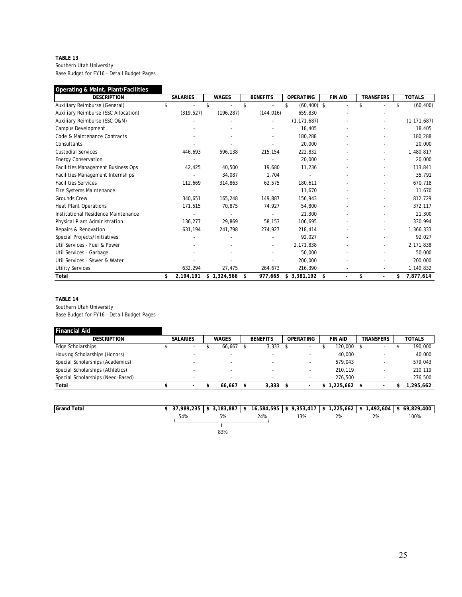#### **TABLE 13** Southern Utah University Base Budget for FY16 - Detail Budget Pages

| Operating & Maint, Plant/Facilities  |                 |              |                          |                      |                          |                      |                 |
|--------------------------------------|-----------------|--------------|--------------------------|----------------------|--------------------------|----------------------|-----------------|
| <b>DESCRIPTION</b>                   | <b>SALARIES</b> | <b>WAGES</b> | <b>BENEFITS</b>          | <b>OPERATING</b>     | <b>FIN AID</b>           | <b>TRANSFERS</b>     | <b>TOTALS</b>   |
| Auxiliary Reimburse (General)        | \$              | \$           | \$                       | \$<br>$(60, 400)$ \$ |                          |                      | \$<br>(60, 400) |
| Auxiliary Reimburse (SSC Allocation) | (319, 527)      | (196, 287)   | (144, 016)               | 659,830              |                          |                      |                 |
| Auxiliary Reimburse (SSC O&M)        |                 |              |                          | (1, 171, 687)        |                          |                      | (1, 171, 687)   |
| Campus Development                   |                 |              |                          | 18,405               |                          |                      | 18,405          |
| Code & Maintenance Contracts         |                 |              |                          | 180,288              |                          |                      | 180,288         |
| Consultants                          |                 |              |                          | 20,000               |                          |                      | 20,000          |
| <b>Custodial Services</b>            | 446,693         | 596,138      | 215,154                  | 222,832              |                          |                      | 1,480,817       |
| <b>Energy Conservation</b>           |                 |              |                          | 20,000               |                          |                      | 20,000          |
| Facilities Management Business Ops   | 42,425          | 40,500       | 19,680                   | 11,236               |                          |                      | 113,841         |
| Facilities Management Internships    |                 | 34,087       | 1,704                    |                      |                          |                      | 35,791          |
| <b>Facilities Services</b>           | 112,669         | 314,863      | 62,575                   | 180,611              |                          |                      | 670,718         |
| Fire Systems Maintenance             |                 |              |                          | 11,670               |                          |                      | 11,670          |
| <b>Grounds Crew</b>                  | 340,651         | 165,248      | 149,887                  | 156,943              |                          |                      | 812,729         |
| <b>Heat Plant Operations</b>         | 171,515         | 70,875       | 74,927                   | 54,800               |                          |                      | 372,117         |
| Institutional Residence Maintenance  |                 |              |                          | 21,300               |                          |                      | 21,300          |
| Physical Plant Administration        | 136,277         | 29,869       | 58,153                   | 106,695              |                          |                      | 330,994         |
| Repairs & Renovation                 | 631,194         | 241,798      | 274,927                  | 218,414              |                          |                      | 1,366,333       |
| Special Projects/Initiatives         |                 |              |                          | 92,027               |                          |                      | 92,027          |
| Util Services - Fuel & Power         |                 |              | $\overline{\phantom{a}}$ | 2,171,838            |                          |                      | 2,171,838       |
| Util Services - Garbage              |                 |              |                          | 50,000               |                          |                      | 50,000          |
| Util Services - Sewer & Water        |                 |              |                          | 200,000              |                          |                      | 200,000         |
| <b>Utility Services</b>              | 632,294         | 27,475       | 264,673                  | 216,390              |                          |                      | 1,140,832       |
| Total                                | \$<br>2,194,191 | \$1,324,566  | \$<br>977,665            | $$3,381,192$ \$      | $\overline{\phantom{a}}$ | \$<br>$\blacksquare$ | \$<br>7,877,614 |

#### **TABLE 14**

Southern Utah University

Base Budget for FY16 - Detail Budget Pages

| Financial Aid                     |                 |                          |                          |                          |                |                          |               |
|-----------------------------------|-----------------|--------------------------|--------------------------|--------------------------|----------------|--------------------------|---------------|
| <b>DESCRIPTION</b>                | <b>SALARIES</b> | <b>WAGES</b>             | <b>BENEFITS</b>          | <b>OPERATING</b>         | <b>FIN AID</b> | <b>TRANSFERS</b>         | <b>TOTALS</b> |
| Edge Scholarships                 | $\sim$          | 66.667                   | 3.333                    | $\overline{\phantom{a}}$ | 120,000        | $\overline{\phantom{a}}$ | 190,000       |
| Housing Scholarships (Honors)     | -               | -                        |                          | $\overline{\phantom{a}}$ | 40,000         |                          | 40.000        |
| Special Scholarships (Academics)  | -               |                          | -                        | $\overline{\phantom{0}}$ | 579.043        | ۰                        | 579,043       |
| Special Scholarships (Athletics)  |                 |                          |                          | $\blacksquare$           | 210.119        |                          | 210.119       |
| Special Scholarships (Need-Based) | -               | $\overline{\phantom{0}}$ | $\overline{\phantom{a}}$ | $\overline{\phantom{a}}$ | 276.500        |                          | 276.500       |
| Total                             | . .             | 66.667                   | 3,333                    |                          | .225.662       |                          | ,295,662      |

| <b>Grand Total</b> | 37,989,235 | 3,183,887<br>$\rightarrow$<br>୷ | 16,584,595<br>-\$ | 9,353,417 | $225,662$ \$ | 1,492,604       | \$69.829.400 |
|--------------------|------------|---------------------------------|-------------------|-----------|--------------|-----------------|--------------|
|                    | 54%        | $5\%$                           | 24%               | 13%       | 2%           | $\Omega$<br>270 | 100%         |
|                    |            |                                 |                   |           |              |                 |              |
|                    |            | 83%                             |                   |           |              |                 |              |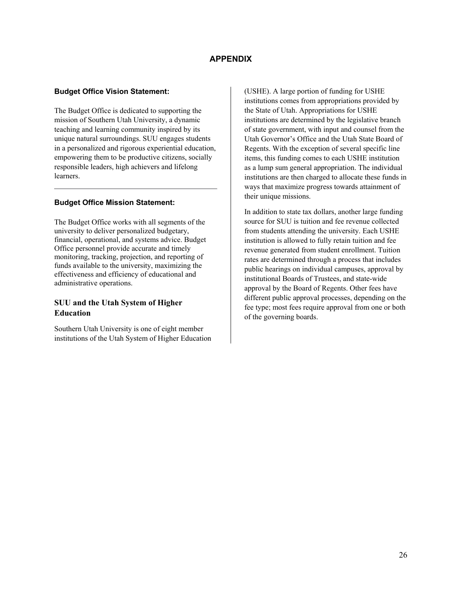## **APPENDIX**

## **Budget Office Vision Statement:**

The Budget Office is dedicated to supporting the mission of Southern Utah University, a dynamic teaching and learning community inspired by its unique natural surroundings. SUU engages students in a personalized and rigorous experiential education, empowering them to be productive citizens, socially responsible leaders, high achievers and lifelong learners.

## **Budget Office Mission Statement:**

The Budget Office works with all segments of the university to deliver personalized budgetary, financial, operational, and systems advice. Budget Office personnel provide accurate and timely monitoring, tracking, projection, and reporting of funds available to the university, maximizing the effectiveness and efficiency of educational and administrative operations.

## **SUU and the Utah System of Higher Education**

Southern Utah University is one of eight member institutions of the Utah System of Higher Education (USHE). A large portion of funding for USHE institutions comes from appropriations provided by the State of Utah. Appropriations for USHE institutions are determined by the legislative branch of state government, with input and counsel from the Utah Governor's Office and the Utah State Board of Regents. With the exception of several specific line items, this funding comes to each USHE institution as a lump sum general appropriation. The individual institutions are then charged to allocate these funds in ways that maximize progress towards attainment of their unique missions.

In addition to state tax dollars, another large funding source for SUU is tuition and fee revenue collected from students attending the university. Each USHE institution is allowed to fully retain tuition and fee revenue generated from student enrollment. Tuition rates are determined through a process that includes public hearings on individual campuses, approval by institutional Boards of Trustees, and state-wide approval by the Board of Regents. Other fees have different public approval processes, depending on the fee type; most fees require approval from one or both of the governing boards.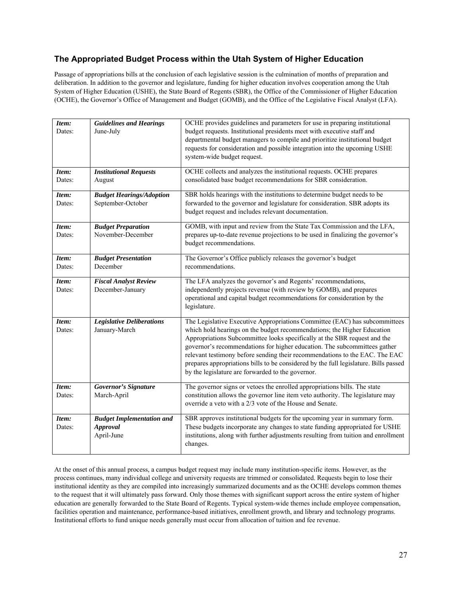## **The Appropriated Budget Process within the Utah System of Higher Education**

Passage of appropriations bills at the conclusion of each legislative session is the culmination of months of preparation and deliberation. In addition to the governor and legislature, funding for higher education involves cooperation among the Utah System of Higher Education (USHE), the State Board of Regents (SBR), the Office of the Commissioner of Higher Education (OCHE), the Governor's Office of Management and Budget (GOMB), and the Office of the Legislative Fiscal Analyst (LFA).

| Item:<br>Dates: | <b>Guidelines and Hearings</b><br>June-July                       | OCHE provides guidelines and parameters for use in preparing institutional<br>budget requests. Institutional presidents meet with executive staff and<br>departmental budget managers to compile and prioritize institutional budget                                                                                                                                                                                                                                                                                                        |
|-----------------|-------------------------------------------------------------------|---------------------------------------------------------------------------------------------------------------------------------------------------------------------------------------------------------------------------------------------------------------------------------------------------------------------------------------------------------------------------------------------------------------------------------------------------------------------------------------------------------------------------------------------|
|                 |                                                                   | requests for consideration and possible integration into the upcoming USHE<br>system-wide budget request.                                                                                                                                                                                                                                                                                                                                                                                                                                   |
| Item:<br>Dates: | <b>Institutional Requests</b><br>August                           | OCHE collects and analyzes the institutional requests. OCHE prepares<br>consolidated base budget recommendations for SBR consideration.                                                                                                                                                                                                                                                                                                                                                                                                     |
| Item:<br>Dates: | <b>Budget Hearings/Adoption</b><br>September-October              | SBR holds hearings with the institutions to determine budget needs to be<br>forwarded to the governor and legislature for consideration. SBR adopts its<br>budget request and includes relevant documentation.                                                                                                                                                                                                                                                                                                                              |
| Item:<br>Dates: | <b>Budget Preparation</b><br>November-December                    | GOMB, with input and review from the State Tax Commission and the LFA,<br>prepares up-to-date revenue projections to be used in finalizing the governor's<br>budget recommendations.                                                                                                                                                                                                                                                                                                                                                        |
| Item:<br>Dates: | <b>Budget Presentation</b><br>December                            | The Governor's Office publicly releases the governor's budget<br>recommendations.                                                                                                                                                                                                                                                                                                                                                                                                                                                           |
| Item:<br>Dates: | <b>Fiscal Analyst Review</b><br>December-January                  | The LFA analyzes the governor's and Regents' recommendations,<br>independently projects revenue (with review by GOMB), and prepares<br>operational and capital budget recommendations for consideration by the<br>legislature.                                                                                                                                                                                                                                                                                                              |
| Item:<br>Dates: | <b>Legislative Deliberations</b><br>January-March                 | The Legislative Executive Appropriations Committee (EAC) has subcommittees<br>which hold hearings on the budget recommendations; the Higher Education<br>Appropriations Subcommittee looks specifically at the SBR request and the<br>governor's recommendations for higher education. The subcommittees gather<br>relevant testimony before sending their recommendations to the EAC. The EAC<br>prepares appropriations bills to be considered by the full legislature. Bills passed<br>by the legislature are forwarded to the governor. |
| Item:<br>Dates: | <b>Governor's Signature</b><br>March-April                        | The governor signs or vetoes the enrolled appropriations bills. The state<br>constitution allows the governor line item veto authority. The legislature may<br>override a veto with a 2/3 vote of the House and Senate.                                                                                                                                                                                                                                                                                                                     |
| Item:<br>Dates: | <b>Budget Implementation and</b><br><b>Approval</b><br>April-June | SBR approves institutional budgets for the upcoming year in summary form.<br>These budgets incorporate any changes to state funding appropriated for USHE<br>institutions, along with further adjustments resulting from tuition and enrollment<br>changes.                                                                                                                                                                                                                                                                                 |

At the onset of this annual process, a campus budget request may include many institution-specific items. However, as the process continues, many individual college and university requests are trimmed or consolidated. Requests begin to lose their institutional identity as they are compiled into increasingly summarized documents and as the OCHE develops common themes to the request that it will ultimately pass forward. Only those themes with significant support across the entire system of higher education are generally forwarded to the State Board of Regents. Typical system-wide themes include employee compensation, facilities operation and maintenance, performance-based initiatives, enrollment growth, and library and technology programs. Institutional efforts to fund unique needs generally must occur from allocation of tuition and fee revenue.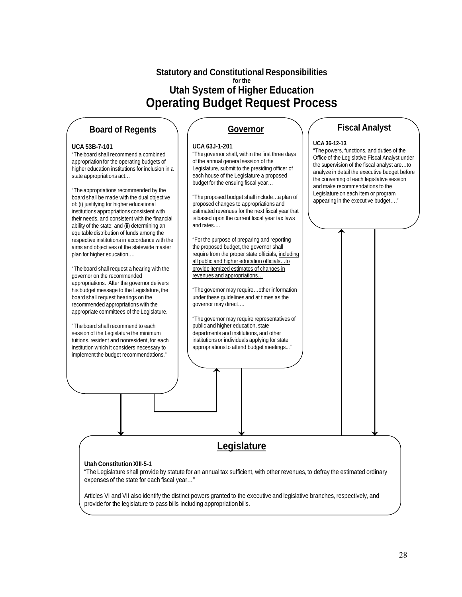# **Statutory and Constitutional Responsibilities for the Utah System of Higher Education Operating Budget Request Process**

# **Board of Regents**

#### **UCA 53B-7-101**

"The board shall recommend a combined appropriation for the operating budgets of higher education institutions for inclusion in a state appropriations act…

"The appropriations recommended by the board shall be made with the dual objective of: (i) justifying for higher educational institutions appropriations consistent with their needs, and consistent with the financial ability of the state; and (ii) determining an equitable distribution of funds among the respective institutions in accordance with the aims and objectives of the statewide master plan for higher education.…

"The board shall request a hearing with the governor on the recommended appropriations. After the governor delivers his budget message to the Legislature, the board shall request hearings on the recommended appropriations with the appropriate committees of the Legislature.

"The board shall recommend to each session of the Legislature the minimum tuitions, resident and nonresident, for each institution which it considers necessary to implement the budget recommendations."

# **Governor**

#### **UCA 63J-1-201**

"The governor shall, within the first three days of the annual general session of the Legislature, submit to the presiding officer of each house of the Legislature a proposed budget for the ensuing fiscal year…

"The proposed budget shall include…a plan of proposed changes to appropriations and estimated revenues for the next fiscal year that is based upon the current fiscal year tax laws and rates….

"For the purpose of preparing and reporting the proposed budget, the governor shall require from the proper state officials, including all public and higher education officials...to provide itemized estimates of changes in revenues and appropriations…

"The governor may require…other information under these guidelines and at times as the governor may direct….

"The governor may require representatives of public and higher education, state departments and institutions, and other institutions or individuals applying for state appropriations to attend budget meetings..."

# **Fiscal Analyst**

#### **UCA 36-12-13**

"The powers, functions, and duties of the Office of the Legislative Fiscal Analyst under the supervision of the fiscal analyst are…to analyze in detail the executive budget before the convening of each legislative session and make recommendations to the Legislature on each item or program appearing in the executive budget…."

# **Legislature**

#### **Utah Constitution XIII-5-1**

"The Legislature shall provide by statute for an annual tax sufficient, with other revenues, to defray the estimated ordinary expenses of the state for each fiscal year…"

Articles VI and VII also identify the distinct powers granted to the executive and legislative branches, respectively, and provide for the legislature to pass bills including appropriation bills.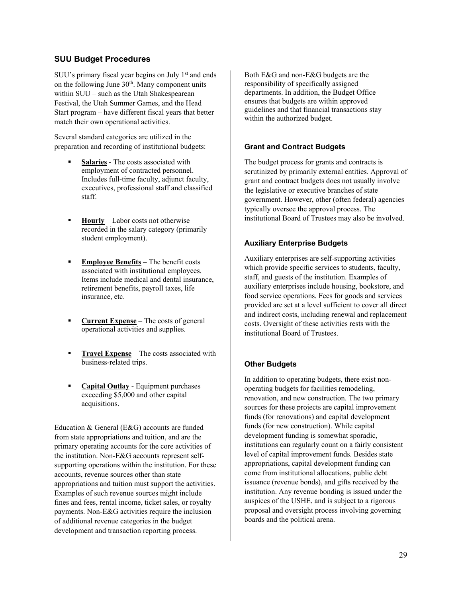## **SUU Budget Procedures**

SUU's primary fiscal year begins on July  $1<sup>st</sup>$  and ends on the following June  $30<sup>th</sup>$ . Many component units within SUU – such as the Utah Shakespearean Festival, the Utah Summer Games, and the Head Start program – have different fiscal years that better match their own operational activities.

Several standard categories are utilized in the preparation and recording of institutional budgets:

- **Salaries** The costs associated with employment of contracted personnel. Includes full-time faculty, adjunct faculty, executives, professional staff and classified staff.
- **Hourly** Labor costs not otherwise recorded in the salary category (primarily student employment).
- **Employee Benefits** The benefit costs associated with institutional employees. Items include medical and dental insurance, retirement benefits, payroll taxes, life insurance, etc.
- **Current Expense** The costs of general operational activities and supplies.
- **Travel Expense** The costs associated with business-related trips.
- **Capital Outlay** Equipment purchases exceeding \$5,000 and other capital acquisitions.

Education & General (E&G) accounts are funded from state appropriations and tuition, and are the primary operating accounts for the core activities of the institution. Non-E&G accounts represent selfsupporting operations within the institution. For these accounts, revenue sources other than state appropriations and tuition must support the activities. Examples of such revenue sources might include fines and fees, rental income, ticket sales, or royalty payments. Non-E&G activities require the inclusion of additional revenue categories in the budget development and transaction reporting process.

Both E&G and non-E&G budgets are the responsibility of specifically assigned departments. In addition, the Budget Office ensures that budgets are within approved guidelines and that financial transactions stay within the authorized budget.

## **Grant and Contract Budgets**

The budget process for grants and contracts is scrutinized by primarily external entities. Approval of grant and contract budgets does not usually involve the legislative or executive branches of state government. However, other (often federal) agencies typically oversee the approval process. The institutional Board of Trustees may also be involved.

## **Auxiliary Enterprise Budgets**

Auxiliary enterprises are self-supporting activities which provide specific services to students, faculty, staff, and guests of the institution. Examples of auxiliary enterprises include housing, bookstore, and food service operations. Fees for goods and services provided are set at a level sufficient to cover all direct and indirect costs, including renewal and replacement costs. Oversight of these activities rests with the institutional Board of Trustees.

## **Other Budgets**

In addition to operating budgets, there exist nonoperating budgets for facilities remodeling, renovation, and new construction. The two primary sources for these projects are capital improvement funds (for renovations) and capital development funds (for new construction). While capital development funding is somewhat sporadic, institutions can regularly count on a fairly consistent level of capital improvement funds. Besides state appropriations, capital development funding can come from institutional allocations, public debt issuance (revenue bonds), and gifts received by the institution. Any revenue bonding is issued under the auspices of the USHE, and is subject to a rigorous proposal and oversight process involving governing boards and the political arena.